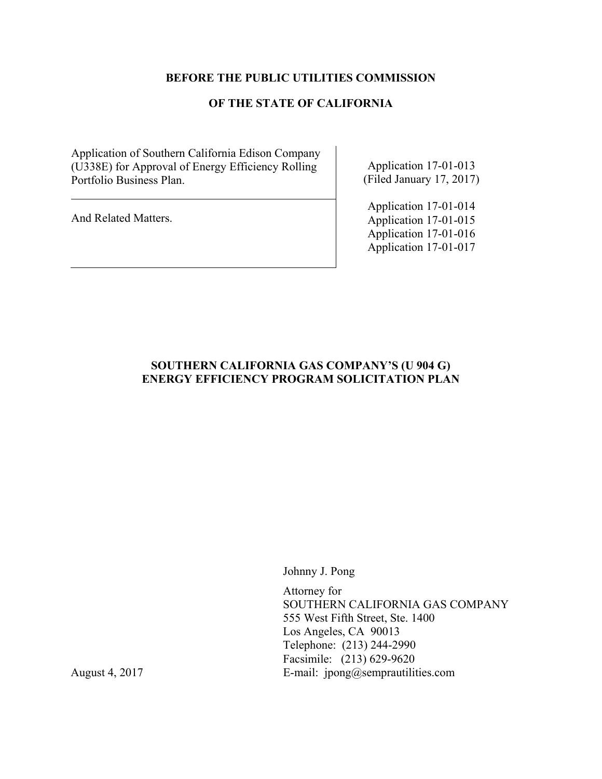# **BEFORE THE PUBLIC UTILITIES COMMISSION**

# **OF THE STATE OF CALIFORNIA**

Application of Southern California Edison Company (U338E) for Approval of Energy Efficiency Rolling Portfolio Business Plan.

And Related Matters.

Application 17-01-013 (Filed January 17, 2017)

Application 17-01-014 Application 17-01-015 Application 17-01-016 Application 17-01-017

# **SOUTHERN CALIFORNIA GAS COMPANY'S (U 904 G) ENERGY EFFICIENCY PROGRAM SOLICITATION PLAN**

Johnny J. Pong

Attorney for SOUTHERN CALIFORNIA GAS COMPANY 555 West Fifth Street, Ste. 1400 Los Angeles, CA 90013 Telephone: (213) 244-2990 Facsimile: (213) 629-9620 August 4, 2017 **E-mail:** jpong@semprautilities.com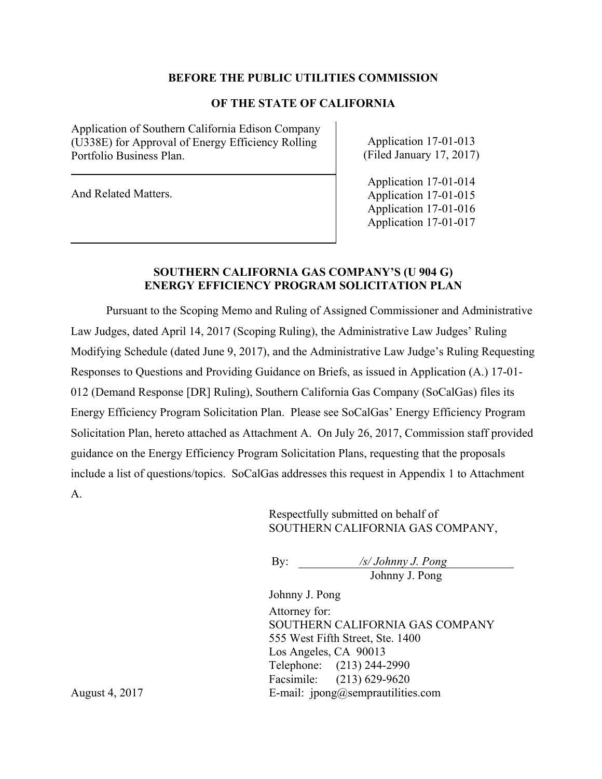#### **BEFORE THE PUBLIC UTILITIES COMMISSION**

#### **OF THE STATE OF CALIFORNIA**

Application of Southern California Edison Company (U338E) for Approval of Energy Efficiency Rolling Portfolio Business Plan.

And Related Matters.

Application 17-01-013 (Filed January 17, 2017)

Application 17-01-014 Application 17-01-015 Application 17-01-016 Application 17-01-017

#### **SOUTHERN CALIFORNIA GAS COMPANY'S (U 904 G) ENERGY EFFICIENCY PROGRAM SOLICITATION PLAN**

Pursuant to the Scoping Memo and Ruling of Assigned Commissioner and Administrative Law Judges, dated April 14, 2017 (Scoping Ruling), the Administrative Law Judges' Ruling Modifying Schedule (dated June 9, 2017), and the Administrative Law Judge's Ruling Requesting Responses to Questions and Providing Guidance on Briefs, as issued in Application (A.) 17-01- 012 (Demand Response [DR] Ruling), Southern California Gas Company (SoCalGas) files its Energy Efficiency Program Solicitation Plan. Please see SoCalGas' Energy Efficiency Program Solicitation Plan, hereto attached as Attachment A. On July 26, 2017, Commission staff provided guidance on the Energy Efficiency Program Solicitation Plans, requesting that the proposals include a list of questions/topics. SoCalGas addresses this request in Appendix 1 to Attachment A.

> Respectfully submitted on behalf of SOUTHERN CALIFORNIA GAS COMPANY,

By: */s/ Johnny J. Pong*  Johnny J. Pong

Johnny J. Pong

Attorney for: SOUTHERN CALIFORNIA GAS COMPANY 555 West Fifth Street, Ste. 1400 Los Angeles, CA 90013 Telephone: (213) 244-2990 Facsimile: (213) 629-9620 August 4, 2017 E-mail: jpong@semprautilities.com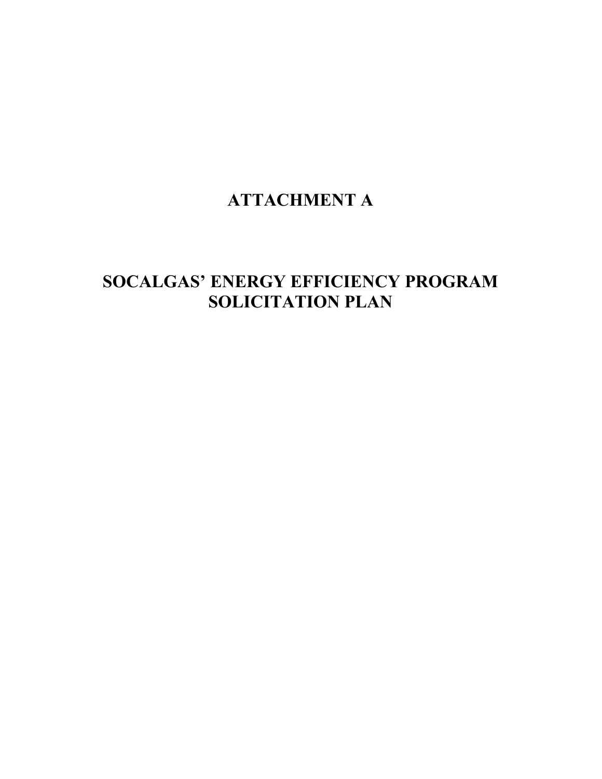# **ATTACHMENT A**

# **SOCALGAS' ENERGY EFFICIENCY PROGRAM SOLICITATION PLAN**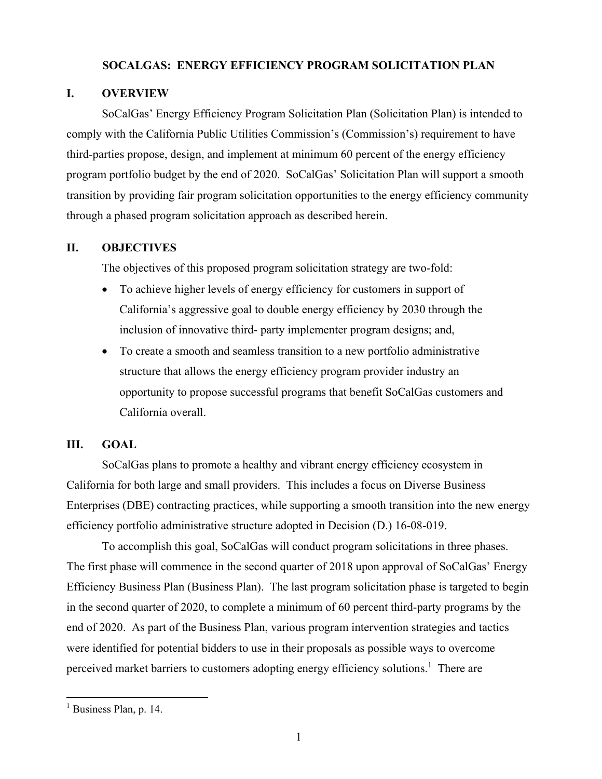## **SOCALGAS: ENERGY EFFICIENCY PROGRAM SOLICITATION PLAN**

# **I. OVERVIEW**

SoCalGas' Energy Efficiency Program Solicitation Plan (Solicitation Plan) is intended to comply with the California Public Utilities Commission's (Commission's) requirement to have third-parties propose, design, and implement at minimum 60 percent of the energy efficiency program portfolio budget by the end of 2020. SoCalGas' Solicitation Plan will support a smooth transition by providing fair program solicitation opportunities to the energy efficiency community through a phased program solicitation approach as described herein.

#### **II. OBJECTIVES**

The objectives of this proposed program solicitation strategy are two-fold:

- To achieve higher levels of energy efficiency for customers in support of California's aggressive goal to double energy efficiency by 2030 through the inclusion of innovative third- party implementer program designs; and,
- x To create a smooth and seamless transition to a new portfolio administrative structure that allows the energy efficiency program provider industry an opportunity to propose successful programs that benefit SoCalGas customers and California overall.

#### **III. GOAL**

SoCalGas plans to promote a healthy and vibrant energy efficiency ecosystem in California for both large and small providers. This includes a focus on Diverse Business Enterprises (DBE) contracting practices, while supporting a smooth transition into the new energy efficiency portfolio administrative structure adopted in Decision (D.) 16-08-019.

To accomplish this goal, SoCalGas will conduct program solicitations in three phases. The first phase will commence in the second quarter of 2018 upon approval of SoCalGas' Energy Efficiency Business Plan (Business Plan). The last program solicitation phase is targeted to begin in the second quarter of 2020, to complete a minimum of 60 percent third-party programs by the end of 2020. As part of the Business Plan, various program intervention strategies and tactics were identified for potential bidders to use in their proposals as possible ways to overcome perceived market barriers to customers adopting energy efficiency solutions.<sup>1</sup> There are

<sup>&</sup>lt;sup>1</sup> Business Plan, p. 14.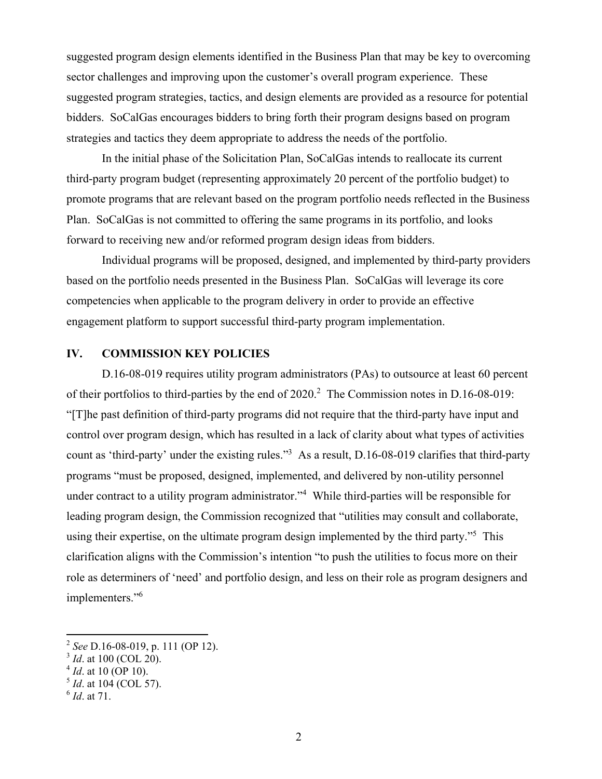suggested program design elements identified in the Business Plan that may be key to overcoming sector challenges and improving upon the customer's overall program experience. These suggested program strategies, tactics, and design elements are provided as a resource for potential bidders. SoCalGas encourages bidders to bring forth their program designs based on program strategies and tactics they deem appropriate to address the needs of the portfolio.

In the initial phase of the Solicitation Plan, SoCalGas intends to reallocate its current third-party program budget (representing approximately 20 percent of the portfolio budget) to promote programs that are relevant based on the program portfolio needs reflected in the Business Plan. SoCalGas is not committed to offering the same programs in its portfolio, and looks forward to receiving new and/or reformed program design ideas from bidders.

Individual programs will be proposed, designed, and implemented by third-party providers based on the portfolio needs presented in the Business Plan. SoCalGas will leverage its core competencies when applicable to the program delivery in order to provide an effective engagement platform to support successful third-party program implementation.

# **IV. COMMISSION KEY POLICIES**

D.16-08-019 requires utility program administrators (PAs) to outsource at least 60 percent of their portfolios to third-parties by the end of 2020.<sup>2</sup> The Commission notes in D.16-08-019: "[T]he past definition of third-party programs did not require that the third-party have input and control over program design, which has resulted in a lack of clarity about what types of activities count as 'third-party' under the existing rules."<sup>3</sup> As a result, D.16-08-019 clarifies that third-party programs "must be proposed, designed, implemented, and delivered by non-utility personnel under contract to a utility program administrator."<sup>4</sup> While third-parties will be responsible for leading program design, the Commission recognized that "utilities may consult and collaborate, using their expertise, on the ultimate program design implemented by the third party."<sup>5</sup> This clarification aligns with the Commission's intention "to push the utilities to focus more on their role as determiners of 'need' and portfolio design, and less on their role as program designers and implementers."<sup>6</sup>

 <sup>2</sup> *See* D.16-08-019, p. 111 (OP 12).

 $3$  *Id.* at 100 (COL 20).

<sup>4</sup> *Id*. at 10 (OP 10).

<sup>5</sup> *Id*. at 104 (COL 57).

<sup>6</sup> *Id*. at 71.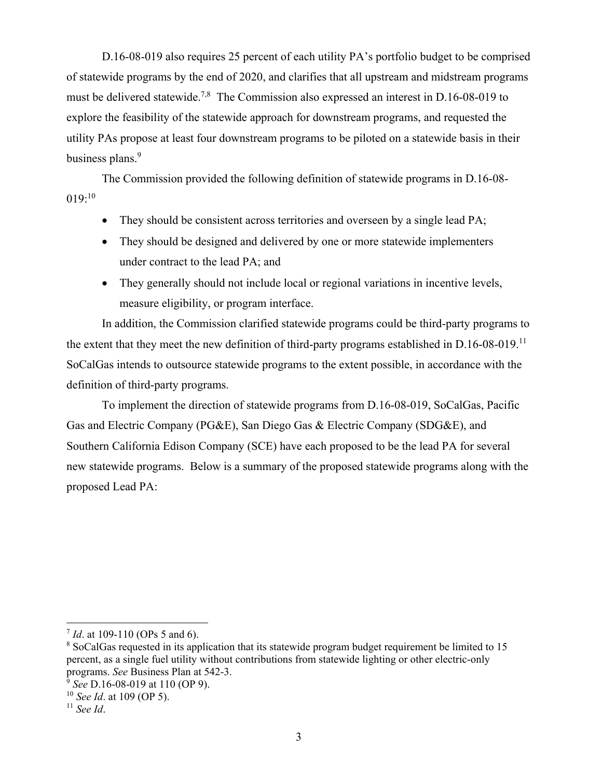D.16-08-019 also requires 25 percent of each utility PA's portfolio budget to be comprised of statewide programs by the end of 2020, and clarifies that all upstream and midstream programs must be delivered statewide.<sup>7,8</sup> The Commission also expressed an interest in D.16-08-019 to explore the feasibility of the statewide approach for downstream programs, and requested the utility PAs propose at least four downstream programs to be piloted on a statewide basis in their business plans.<sup>9</sup>

The Commission provided the following definition of statewide programs in D.16-08-  $019:10$ 

- They should be consistent across territories and overseen by a single lead PA;
- They should be designed and delivered by one or more statewide implementers under contract to the lead PA; and
- They generally should not include local or regional variations in incentive levels, measure eligibility, or program interface.

In addition, the Commission clarified statewide programs could be third-party programs to the extent that they meet the new definition of third-party programs established in D.16-08-019.<sup>11</sup> SoCalGas intends to outsource statewide programs to the extent possible, in accordance with the definition of third-party programs.

To implement the direction of statewide programs from D.16-08-019, SoCalGas, Pacific Gas and Electric Company (PG&E), San Diego Gas & Electric Company (SDG&E), and Southern California Edison Company (SCE) have each proposed to be the lead PA for several new statewide programs. Below is a summary of the proposed statewide programs along with the proposed Lead PA:

  $^{7}$  *Id.* at 109-110 (OPs 5 and 6).

<sup>&</sup>lt;sup>8</sup> SoCalGas requested in its application that its statewide program budget requirement be limited to 15 percent, as a single fuel utility without contributions from statewide lighting or other electric-only programs. *See* Business Plan at 542-3.

<sup>9</sup> *See* D.16-08-019 at 110 (OP 9).

<sup>10</sup> *See Id*. at 109 (OP 5).

<sup>11</sup> *See Id*.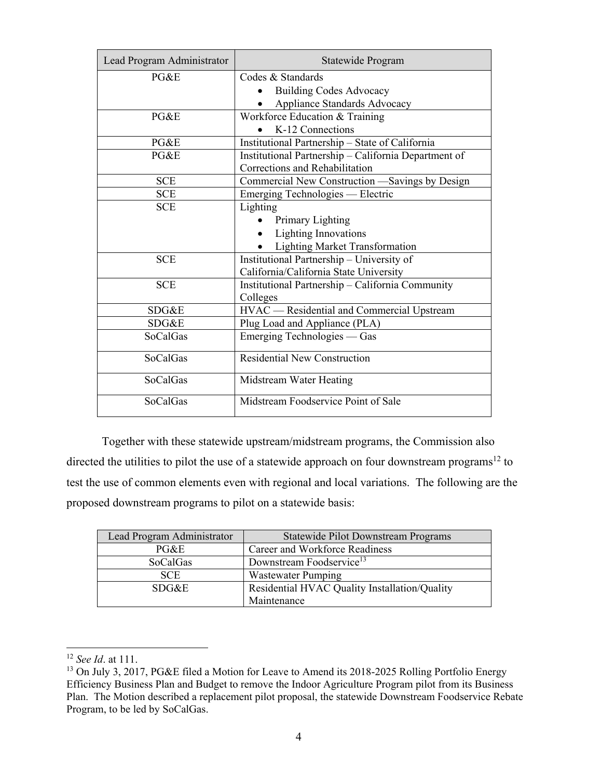| Lead Program Administrator | Statewide Program                                    |
|----------------------------|------------------------------------------------------|
| $P G \& E$                 | Codes & Standards                                    |
|                            | <b>Building Codes Advocacy</b>                       |
|                            | Appliance Standards Advocacy                         |
| PG&E                       | Workforce Education & Training                       |
|                            | K-12 Connections                                     |
| PG&E                       | Institutional Partnership - State of California      |
| PG&E                       | Institutional Partnership - California Department of |
|                            | Corrections and Rehabilitation                       |
| <b>SCE</b>                 | Commercial New Construction -Savings by Design       |
| <b>SCE</b>                 | Emerging Technologies — Electric                     |
| <b>SCE</b>                 | Lighting                                             |
|                            | Primary Lighting                                     |
|                            | <b>Lighting Innovations</b>                          |
|                            | <b>Lighting Market Transformation</b>                |
| <b>SCE</b>                 | Institutional Partnership - University of            |
|                            | California/California State University               |
| <b>SCE</b>                 | Institutional Partnership - California Community     |
|                            | Colleges                                             |
| SDG&E                      | HVAC — Residential and Commercial Upstream           |
| SDG&E                      | Plug Load and Appliance (PLA)                        |
| <b>SoCalGas</b>            | Emerging Technologies — Gas                          |
| SoCalGas                   | <b>Residential New Construction</b>                  |
| SoCalGas                   | Midstream Water Heating                              |
| SoCalGas                   | Midstream Foodservice Point of Sale                  |

Together with these statewide upstream/midstream programs, the Commission also directed the utilities to pilot the use of a statewide approach on four downstream programs<sup>12</sup> to test the use of common elements even with regional and local variations. The following are the proposed downstream programs to pilot on a statewide basis:

| Lead Program Administrator | <b>Statewide Pilot Downstream Programs</b>    |
|----------------------------|-----------------------------------------------|
| PGEE                       | Career and Workforce Readiness                |
| SoCalGas                   | Downstream Foodservice <sup>13</sup>          |
| <b>SCE</b>                 | Wastewater Pumping                            |
| SDG&E                      | Residential HVAC Quality Installation/Quality |
|                            | Maintenance                                   |

<sup>12</sup> *See Id*. at 111.

<sup>&</sup>lt;sup>13</sup> On July 3, 2017, PG&E filed a Motion for Leave to Amend its 2018-2025 Rolling Portfolio Energy Efficiency Business Plan and Budget to remove the Indoor Agriculture Program pilot from its Business Plan. The Motion described a replacement pilot proposal, the statewide Downstream Foodservice Rebate Program, to be led by SoCalGas.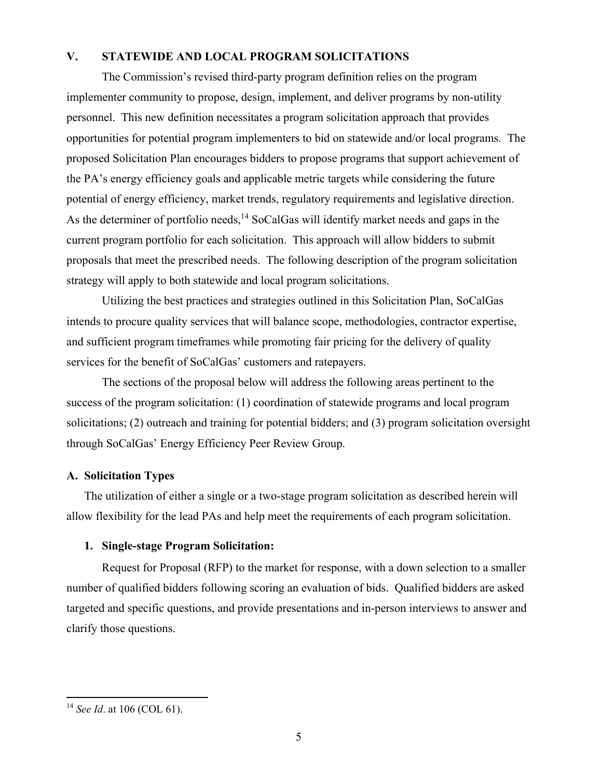## **V. STATEWIDE AND LOCAL PROGRAM SOLICITATIONS**

The Commission's revised third-party program definition relies on the program implementer community to propose, design, implement, and deliver programs by non-utility personnel. This new definition necessitates a program solicitation approach that provides opportunities for potential program implementers to bid on statewide and/or local programs. The proposed Solicitation Plan encourages bidders to propose programs that support achievement of the PA's energy efficiency goals and applicable metric targets while considering the future potential of energy efficiency, market trends, regulatory requirements and legislative direction. As the determiner of portfolio needs,<sup>14</sup> SoCalGas will identify market needs and gaps in the current program portfolio for each solicitation. This approach will allow bidders to submit proposals that meet the prescribed needs. The following description of the program solicitation strategy will apply to both statewide and local program solicitations.

Utilizing the best practices and strategies outlined in this Solicitation Plan, SoCalGas intends to procure quality services that will balance scope, methodologies, contractor expertise, and sufficient program timeframes while promoting fair pricing for the delivery of quality services for the benefit of SoCalGas' customers and ratepayers.

The sections of the proposal below will address the following areas pertinent to the success of the program solicitation: (1) coordination of statewide programs and local program solicitations; (2) outreach and training for potential bidders; and (3) program solicitation oversight through SoCalGas' Energy Efficiency Peer Review Group.

## **A. Solicitation Types**

The utilization of either a single or a two-stage program solicitation as described herein will allow flexibility for the lead PAs and help meet the requirements of each program solicitation.

## **1. Single-stage Program Solicitation:**

Request for Proposal (RFP) to the market for response, with a down selection to a smaller number of qualified bidders following scoring an evaluation of bids. Qualified bidders are asked targeted and specific questions, and provide presentations and in-person interviews to answer and clarify those questions.

 <sup>14</sup> *See Id*. at 106 (COL 61).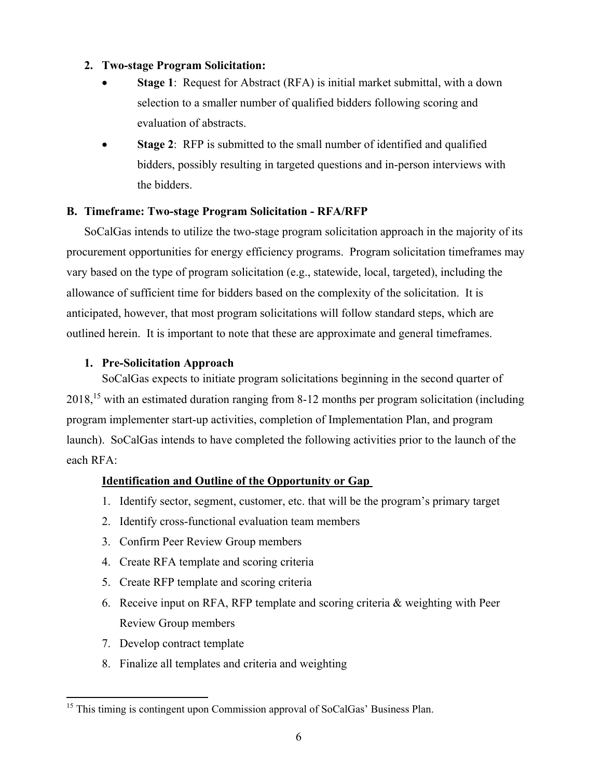# **2. Two-stage Program Solicitation:**

- **Stage 1:** Request for Abstract (RFA) is initial market submittal, with a down selection to a smaller number of qualified bidders following scoring and evaluation of abstracts.
- Stage 2: RFP is submitted to the small number of identified and qualified bidders, possibly resulting in targeted questions and in-person interviews with the bidders.

# **B. Timeframe: Two-stage Program Solicitation - RFA/RFP**

SoCalGas intends to utilize the two-stage program solicitation approach in the majority of its procurement opportunities for energy efficiency programs. Program solicitation timeframes may vary based on the type of program solicitation (e.g., statewide, local, targeted), including the allowance of sufficient time for bidders based on the complexity of the solicitation. It is anticipated, however, that most program solicitations will follow standard steps, which are outlined herein. It is important to note that these are approximate and general timeframes.

# **1. Pre-Solicitation Approach**

SoCalGas expects to initiate program solicitations beginning in the second quarter of 2018,<sup>15</sup> with an estimated duration ranging from 8-12 months per program solicitation (including program implementer start-up activities, completion of Implementation Plan, and program launch). SoCalGas intends to have completed the following activities prior to the launch of the each RFA:

## **Identification and Outline of the Opportunity or Gap**

- 1. Identify sector, segment, customer, etc. that will be the program's primary target
- 2. Identify cross-functional evaluation team members
- 3. Confirm Peer Review Group members
- 4. Create RFA template and scoring criteria
- 5. Create RFP template and scoring criteria
- 6. Receive input on RFA, RFP template and scoring criteria & weighting with Peer Review Group members
- 7. Develop contract template

8. Finalize all templates and criteria and weighting

<sup>&</sup>lt;sup>15</sup> This timing is contingent upon Commission approval of SoCalGas' Business Plan.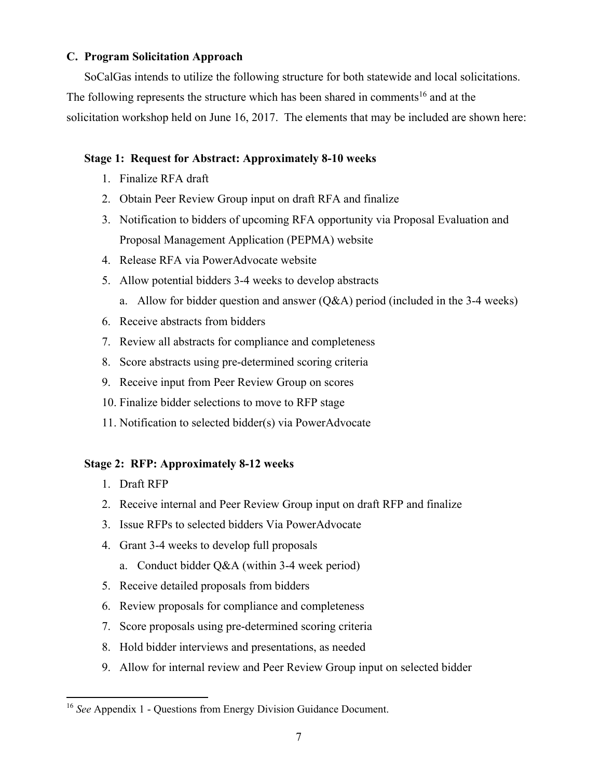## **C. Program Solicitation Approach**

SoCalGas intends to utilize the following structure for both statewide and local solicitations. The following represents the structure which has been shared in comments<sup>16</sup> and at the solicitation workshop held on June 16, 2017. The elements that may be included are shown here:

# **Stage 1: Request for Abstract: Approximately 8-10 weeks**

- 1. Finalize RFA draft
- 2. Obtain Peer Review Group input on draft RFA and finalize
- 3. Notification to bidders of upcoming RFA opportunity via Proposal Evaluation and Proposal Management Application (PEPMA) website
- 4. Release RFA via PowerAdvocate website
- 5. Allow potential bidders 3-4 weeks to develop abstracts
	- a. Allow for bidder question and answer (Q&A) period (included in the 3-4 weeks)
- 6. Receive abstracts from bidders
- 7. Review all abstracts for compliance and completeness
- 8. Score abstracts using pre-determined scoring criteria
- 9. Receive input from Peer Review Group on scores
- 10. Finalize bidder selections to move to RFP stage
- 11. Notification to selected bidder(s) via PowerAdvocate

# **Stage 2: RFP: Approximately 8-12 weeks**

- 1. Draft RFP
- 2. Receive internal and Peer Review Group input on draft RFP and finalize
- 3. Issue RFPs to selected bidders Via PowerAdvocate
- 4. Grant 3-4 weeks to develop full proposals
	- a. Conduct bidder Q&A (within 3-4 week period)
- 5. Receive detailed proposals from bidders
- 6. Review proposals for compliance and completeness
- 7. Score proposals using pre-determined scoring criteria
- 8. Hold bidder interviews and presentations, as needed
- 9. Allow for internal review and Peer Review Group input on selected bidder

 <sup>16</sup> *See* Appendix 1 - Questions from Energy Division Guidance Document.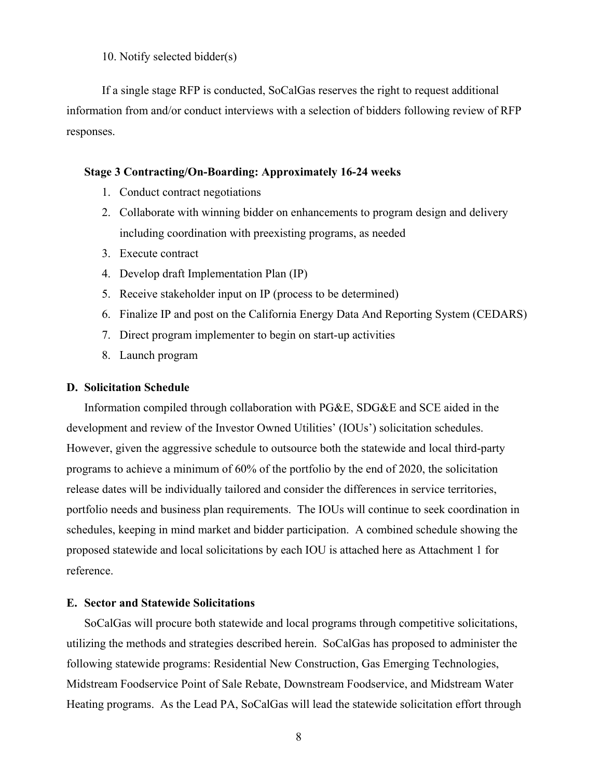10. Notify selected bidder(s)

If a single stage RFP is conducted, SoCalGas reserves the right to request additional information from and/or conduct interviews with a selection of bidders following review of RFP responses.

#### **Stage 3 Contracting/On-Boarding: Approximately 16-24 weeks**

- 1. Conduct contract negotiations
- 2. Collaborate with winning bidder on enhancements to program design and delivery including coordination with preexisting programs, as needed
- 3. Execute contract
- 4. Develop draft Implementation Plan (IP)
- 5. Receive stakeholder input on IP (process to be determined)
- 6. Finalize IP and post on the California Energy Data And Reporting System (CEDARS)
- 7. Direct program implementer to begin on start-up activities
- 8. Launch program

#### **D. Solicitation Schedule**

Information compiled through collaboration with PG&E, SDG&E and SCE aided in the development and review of the Investor Owned Utilities' (IOUs') solicitation schedules. However, given the aggressive schedule to outsource both the statewide and local third-party programs to achieve a minimum of 60% of the portfolio by the end of 2020, the solicitation release dates will be individually tailored and consider the differences in service territories, portfolio needs and business plan requirements. The IOUs will continue to seek coordination in schedules, keeping in mind market and bidder participation. A combined schedule showing the proposed statewide and local solicitations by each IOU is attached here as Attachment 1 for reference.

#### **E. Sector and Statewide Solicitations**

SoCalGas will procure both statewide and local programs through competitive solicitations, utilizing the methods and strategies described herein. SoCalGas has proposed to administer the following statewide programs: Residential New Construction, Gas Emerging Technologies, Midstream Foodservice Point of Sale Rebate, Downstream Foodservice, and Midstream Water Heating programs. As the Lead PA, SoCalGas will lead the statewide solicitation effort through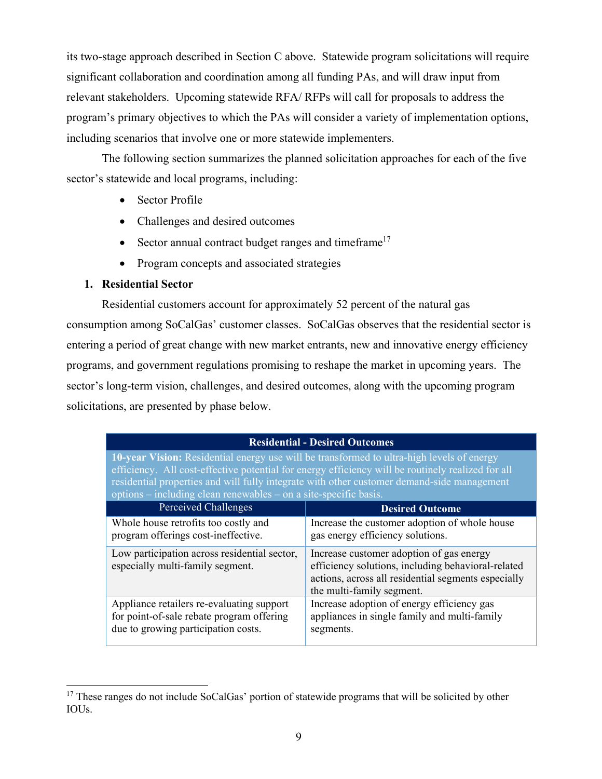its two-stage approach described in Section C above. Statewide program solicitations will require significant collaboration and coordination among all funding PAs, and will draw input from relevant stakeholders. Upcoming statewide RFA/ RFPs will call for proposals to address the program's primary objectives to which the PAs will consider a variety of implementation options, including scenarios that involve one or more statewide implementers.

The following section summarizes the planned solicitation approaches for each of the five sector's statewide and local programs, including:

- Sector Profile
- x Challenges and desired outcomes
- $\bullet$  Sector annual contract budget ranges and timeframe<sup>17</sup>
- Program concepts and associated strategies

#### **1. Residential Sector**

Residential customers account for approximately 52 percent of the natural gas consumption among SoCalGas' customer classes. SoCalGas observes that the residential sector is entering a period of great change with new market entrants, new and innovative energy efficiency programs, and government regulations promising to reshape the market in upcoming years. The sector's long-term vision, challenges, and desired outcomes, along with the upcoming program solicitations, are presented by phase below.

#### **Residential - Desired Outcomes**

**10-year Vision:** Residential energy use will be transformed to ultra-high levels of energy efficiency. All cost-effective potential for energy efficiency will be routinely realized for all residential properties and will fully integrate with other customer demand-side management options – including clean renewables – on a site-specific basis.

| Perceived Challenges                                                             | <b>Desired Outcome</b>                                                                                                                                                             |
|----------------------------------------------------------------------------------|------------------------------------------------------------------------------------------------------------------------------------------------------------------------------------|
| Whole house retrofits too costly and                                             | Increase the customer adoption of whole house                                                                                                                                      |
| program offerings cost-ineffective.                                              | gas energy efficiency solutions.                                                                                                                                                   |
| Low participation across residential sector,<br>especially multi-family segment. | Increase customer adoption of gas energy<br>efficiency solutions, including behavioral-related<br>actions, across all residential segments especially<br>the multi-family segment. |
| Appliance retailers re-evaluating support                                        | Increase adoption of energy efficiency gas                                                                                                                                         |
| for point-of-sale rebate program offering                                        | appliances in single family and multi-family                                                                                                                                       |
| due to growing participation costs.                                              | segments.                                                                                                                                                                          |

<sup>&</sup>lt;sup>17</sup> These ranges do not include SoCalGas' portion of statewide programs that will be solicited by other IOUs.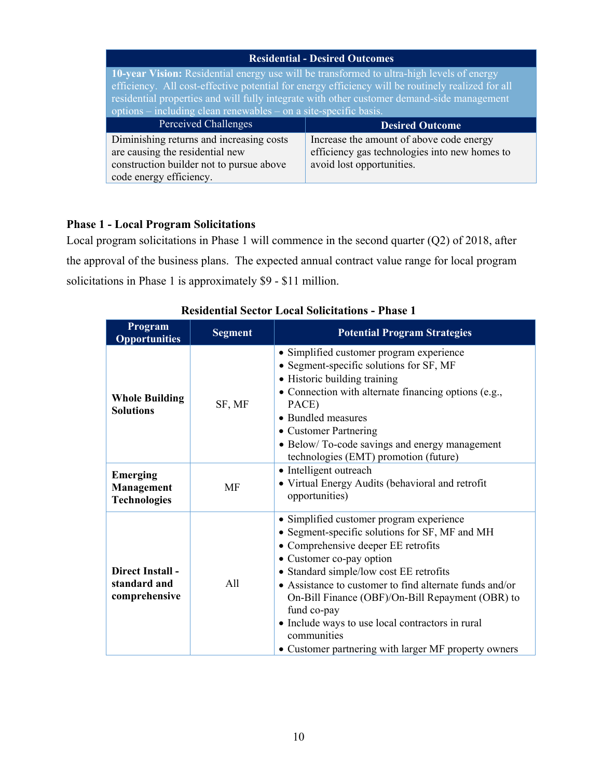| <b>Residential - Desired Outcomes</b>                                                                                                                                                                                                                                                                                                                            |                                                                                                                        |  |  |
|------------------------------------------------------------------------------------------------------------------------------------------------------------------------------------------------------------------------------------------------------------------------------------------------------------------------------------------------------------------|------------------------------------------------------------------------------------------------------------------------|--|--|
| 10-year Vision: Residential energy use will be transformed to ultra-high levels of energy<br>efficiency. All cost-effective potential for energy efficiency will be routinely realized for all<br>residential properties and will fully integrate with other customer demand-side management<br>options – including clean renewables – on a site-specific basis. |                                                                                                                        |  |  |
|                                                                                                                                                                                                                                                                                                                                                                  |                                                                                                                        |  |  |
| Perceived Challenges                                                                                                                                                                                                                                                                                                                                             | <b>Desired Outcome</b>                                                                                                 |  |  |
| Diminishing returns and increasing costs<br>are causing the residential new<br>construction builder not to pursue above                                                                                                                                                                                                                                          | Increase the amount of above code energy<br>efficiency gas technologies into new homes to<br>avoid lost opportunities. |  |  |

# **Phase 1 - Local Program Solicitations**

Local program solicitations in Phase 1 will commence in the second quarter (Q2) of 2018, after the approval of the business plans. The expected annual contract value range for local program solicitations in Phase 1 is approximately \$9 - \$11 million.

| Program<br><b>Opportunities</b>                             | <b>Segment</b> | <b>Potential Program Strategies</b>                                                                                                                                                                                                                                                                                                                                                                                                                               |
|-------------------------------------------------------------|----------------|-------------------------------------------------------------------------------------------------------------------------------------------------------------------------------------------------------------------------------------------------------------------------------------------------------------------------------------------------------------------------------------------------------------------------------------------------------------------|
| <b>Whole Building</b><br><b>Solutions</b>                   | SF, MF         | • Simplified customer program experience<br>• Segment-specific solutions for SF, MF<br>• Historic building training<br>• Connection with alternate financing options (e.g.,<br>PACE)<br>• Bundled measures<br>• Customer Partnering<br>• Below/To-code savings and energy management<br>technologies (EMT) promotion (future)                                                                                                                                     |
| <b>Emerging</b><br><b>Management</b><br><b>Technologies</b> | MF             | • Intelligent outreach<br>• Virtual Energy Audits (behavioral and retrofit<br>opportunities)                                                                                                                                                                                                                                                                                                                                                                      |
| Direct Install -<br>standard and<br>comprehensive           | A11            | · Simplified customer program experience<br>• Segment-specific solutions for SF, MF and MH<br>• Comprehensive deeper EE retrofits<br>• Customer co-pay option<br>• Standard simple/low cost EE retrofits<br>• Assistance to customer to find alternate funds and/or<br>On-Bill Finance (OBF)/On-Bill Repayment (OBR) to<br>fund co-pay<br>• Include ways to use local contractors in rural<br>communities<br>• Customer partnering with larger MF property owners |

**Residential Sector Local Solicitations - Phase 1**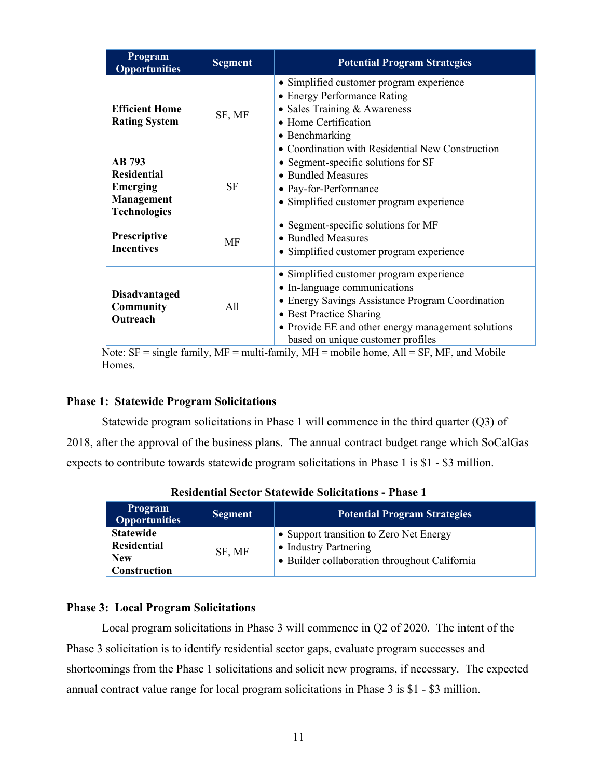| Program<br><b>Opportunities</b>                                                      | <b>Segment</b> | <b>Potential Program Strategies</b>                                                                                                                                                                                                                |
|--------------------------------------------------------------------------------------|----------------|----------------------------------------------------------------------------------------------------------------------------------------------------------------------------------------------------------------------------------------------------|
| <b>Efficient Home</b><br><b>Rating System</b>                                        | SF, MF         | • Simplified customer program experience<br>• Energy Performance Rating<br>• Sales Training & Awareness<br>• Home Certification<br>• Benchmarking<br>• Coordination with Residential New Construction                                              |
| <b>AB</b> 793<br><b>Residential</b><br>Emerging<br>Management<br><b>Technologies</b> | <b>SF</b>      | • Segment-specific solutions for SF<br>• Bundled Measures<br>• Pay-for-Performance<br>• Simplified customer program experience                                                                                                                     |
| <b>Prescriptive</b><br><b>Incentives</b>                                             | MF             | • Segment-specific solutions for MF<br>• Bundled Measures<br>• Simplified customer program experience                                                                                                                                              |
| <b>Disadvantaged</b><br><b>Community</b><br>Outreach                                 | All            | • Simplified customer program experience<br>• In-language communications<br>• Energy Savings Assistance Program Coordination<br>• Best Practice Sharing<br>• Provide EE and other energy management solutions<br>based on unique customer profiles |

Note:  $SF = single family$ ,  $MF = multi-family$ ,  $MH = mobile home$ ,  $All = SF$ ,  $MF$ , and Mobile Homes.

## **Phase 1: Statewide Program Solicitations**

Statewide program solicitations in Phase 1 will commence in the third quarter (Q3) of 2018, after the approval of the business plans. The annual contract budget range which SoCalGas expects to contribute towards statewide program solicitations in Phase 1 is \$1 - \$3 million.

| <b>Program</b><br><b>Opportunities</b> | <b>Segment</b> | <b>Potential Program Strategies</b>                              |
|----------------------------------------|----------------|------------------------------------------------------------------|
| <b>Statewide</b><br><b>Residential</b> | SF, MF         | • Support transition to Zero Net Energy<br>• Industry Partnering |
| <b>New</b><br><b>Construction</b>      |                | • Builder collaboration throughout California                    |

**Residential Sector Statewide Solicitations - Phase 1** 

#### **Phase 3: Local Program Solicitations**

Local program solicitations in Phase 3 will commence in Q2 of 2020. The intent of the Phase 3 solicitation is to identify residential sector gaps, evaluate program successes and shortcomings from the Phase 1 solicitations and solicit new programs, if necessary. The expected annual contract value range for local program solicitations in Phase 3 is \$1 - \$3 million.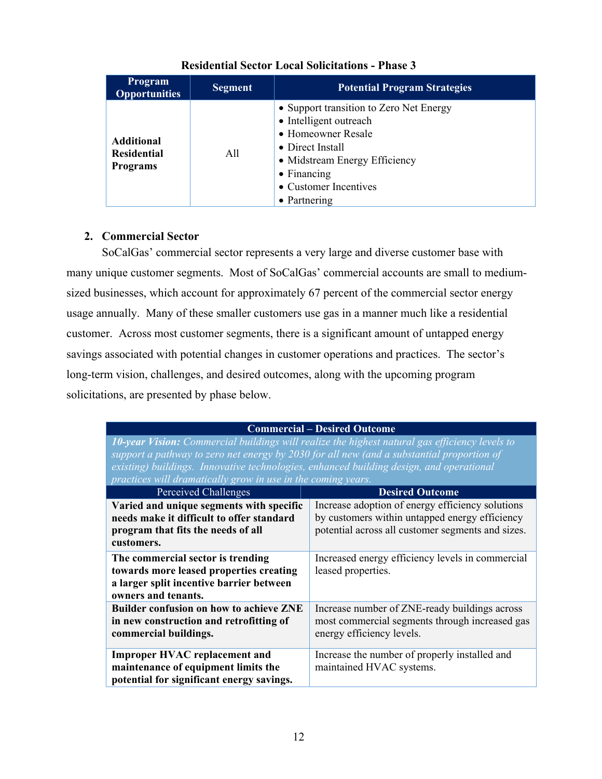| <b>Program</b><br><b>Opportunities</b>                     | <b>Segment</b> | <b>Potential Program Strategies</b>                                                                                                                                                                          |
|------------------------------------------------------------|----------------|--------------------------------------------------------------------------------------------------------------------------------------------------------------------------------------------------------------|
| <b>Additional</b><br><b>Residential</b><br><b>Programs</b> | A11            | • Support transition to Zero Net Energy<br>• Intelligent outreach<br>• Homeowner Resale<br>• Direct Install<br>• Midstream Energy Efficiency<br>$\bullet$ Financing<br>• Customer Incentives<br>• Partnering |

# **Residential Sector Local Solicitations - Phase 3**

# **2. Commercial Sector**

SoCalGas' commercial sector represents a very large and diverse customer base with many unique customer segments. Most of SoCalGas' commercial accounts are small to mediumsized businesses, which account for approximately 67 percent of the commercial sector energy usage annually. Many of these smaller customers use gas in a manner much like a residential customer. Across most customer segments, there is a significant amount of untapped energy savings associated with potential changes in customer operations and practices. The sector's long-term vision, challenges, and desired outcomes, along with the upcoming program solicitations, are presented by phase below.

| <b>Commercial – Desired Outcome</b>                                                                                                                                                                                                                                                                                                                           |                                                                                                                                                         |  |
|---------------------------------------------------------------------------------------------------------------------------------------------------------------------------------------------------------------------------------------------------------------------------------------------------------------------------------------------------------------|---------------------------------------------------------------------------------------------------------------------------------------------------------|--|
| <b>10-year Vision:</b> Commercial buildings will realize the highest natural gas efficiency levels to<br>support a pathway to zero net energy by 2030 for all new (and a substantial proportion of<br>existing) buildings. Innovative technologies, enhanced building design, and operational<br>practices will dramatically grow in use in the coming years. |                                                                                                                                                         |  |
| Perceived Challenges                                                                                                                                                                                                                                                                                                                                          | <b>Desired Outcome</b>                                                                                                                                  |  |
| Varied and unique segments with specific<br>needs make it difficult to offer standard<br>program that fits the needs of all<br>customers.                                                                                                                                                                                                                     | Increase adoption of energy efficiency solutions<br>by customers within untapped energy efficiency<br>potential across all customer segments and sizes. |  |
| The commercial sector is trending<br>towards more leased properties creating<br>a larger split incentive barrier between<br>owners and tenants.                                                                                                                                                                                                               | Increased energy efficiency levels in commercial<br>leased properties.                                                                                  |  |
| <b>Builder confusion on how to achieve ZNE</b><br>in new construction and retrofitting of<br>commercial buildings.                                                                                                                                                                                                                                            | Increase number of ZNE-ready buildings across<br>most commercial segments through increased gas<br>energy efficiency levels.                            |  |
| <b>Improper HVAC replacement and</b><br>maintenance of equipment limits the<br>potential for significant energy savings.                                                                                                                                                                                                                                      | Increase the number of properly installed and<br>maintained HVAC systems.                                                                               |  |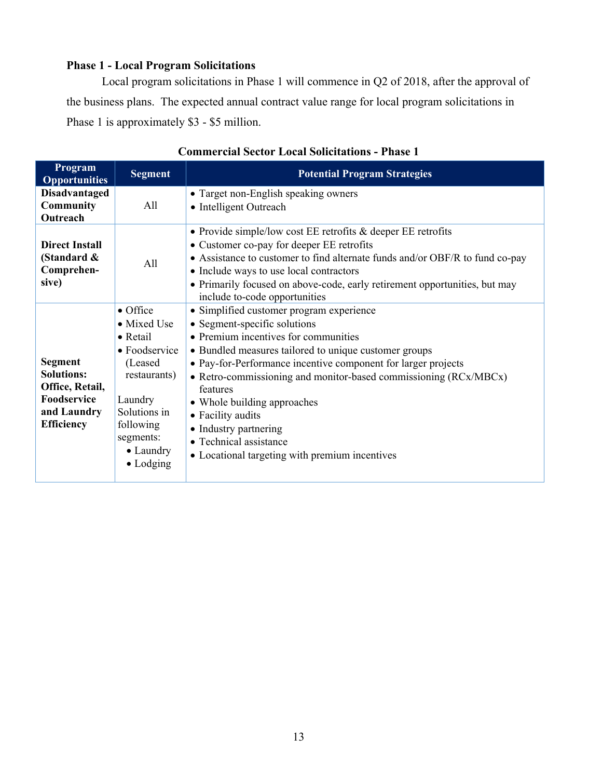# **Phase 1 - Local Program Solicitations**

Local program solicitations in Phase 1 will commence in Q2 of 2018, after the approval of the business plans. The expected annual contract value range for local program solicitations in Phase 1 is approximately \$3 - \$5 million.

| Program<br><b>Opportunities</b>                                                                           | <b>Segment</b>                                                                                                                                                                                  | <b>Potential Program Strategies</b>                                                                                                                                                                                                                                                                                                                                                                                                                                                 |
|-----------------------------------------------------------------------------------------------------------|-------------------------------------------------------------------------------------------------------------------------------------------------------------------------------------------------|-------------------------------------------------------------------------------------------------------------------------------------------------------------------------------------------------------------------------------------------------------------------------------------------------------------------------------------------------------------------------------------------------------------------------------------------------------------------------------------|
| <b>Disadvantaged</b><br><b>Community</b><br>Outreach                                                      | All                                                                                                                                                                                             | • Target non-English speaking owners<br>• Intelligent Outreach                                                                                                                                                                                                                                                                                                                                                                                                                      |
| <b>Direct Install</b><br>(Standard &<br>Comprehen-<br>sive)                                               | All                                                                                                                                                                                             | • Provide simple/low cost EE retrofits $&$ deeper EE retrofits<br>• Customer co-pay for deeper EE retrofits<br>• Assistance to customer to find alternate funds and/or OBF/R to fund co-pay<br>• Include ways to use local contractors<br>• Primarily focused on above-code, early retirement opportunities, but may<br>include to-code opportunities                                                                                                                               |
| <b>Segment</b><br><b>Solutions:</b><br>Office, Retail,<br>Foodservice<br>and Laundry<br><b>Efficiency</b> | $\bullet$ Office<br>$\bullet$ Mixed Use<br>• Retail<br>$\bullet$ Foodservice<br>(Leased)<br>restaurants)<br>Laundry<br>Solutions in<br>following<br>segments:<br>• Laundry<br>$\bullet$ Lodging | • Simplified customer program experience<br>• Segment-specific solutions<br>• Premium incentives for communities<br>• Bundled measures tailored to unique customer groups<br>• Pay-for-Performance incentive component for larger projects<br>• Retro-commissioning and monitor-based commissioning (RCx/MBCx)<br>features<br>• Whole building approaches<br>• Facility audits<br>• Industry partnering<br>• Technical assistance<br>• Locational targeting with premium incentives |

## **Commercial Sector Local Solicitations - Phase 1**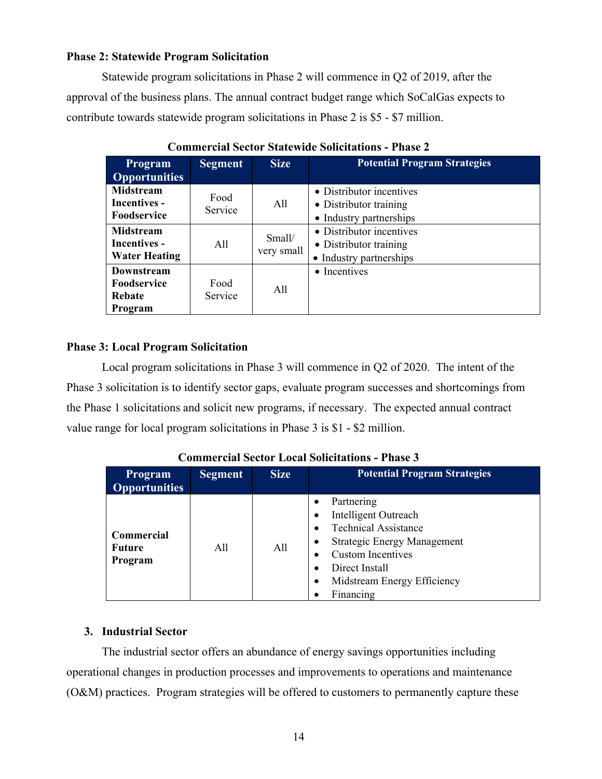## **Phase 2: Statewide Program Solicitation**

Statewide program solicitations in Phase 2 will commence in Q2 of 2019, after the approval of the business plans. The annual contract budget range which SoCalGas expects to contribute towards statewide program solicitations in Phase 2 is \$5 - \$7 million.

| <b>Program</b>       | <b>Segment</b> | <b>Size</b>          | <b>Potential Program Strategies</b> |
|----------------------|----------------|----------------------|-------------------------------------|
| <b>Opportunities</b> |                |                      |                                     |
| <b>Midstream</b>     | Food           |                      | • Distributor incentives            |
| <b>Incentives -</b>  | Service        | All                  | • Distributor training              |
| <b>Foodservice</b>   |                |                      | • Industry partnerships             |
| <b>Midstream</b>     |                |                      | • Distributor incentives            |
| <b>Incentives -</b>  | All            | Small/<br>very small | • Distributor training              |
| <b>Water Heating</b> |                |                      | • Industry partnerships             |
| <b>Downstream</b>    |                |                      | • Incentives                        |
| <b>Foodservice</b>   | Food           | All                  |                                     |
| Rebate               | Service        |                      |                                     |
| Program              |                |                      |                                     |

**Commercial Sector Statewide Solicitations - Phase 2** 

## **Phase 3: Local Program Solicitation**

Local program solicitations in Phase 3 will commence in Q2 of 2020. The intent of the Phase 3 solicitation is to identify sector gaps, evaluate program successes and shortcomings from the Phase 1 solicitations and solicit new programs, if necessary. The expected annual contract value range for local program solicitations in Phase 3 is \$1 - \$2 million.

| <b>Program</b><br><b>Opportunities</b> | <b>Segment</b> | <b>Size</b> | <b>Potential Program Strategies</b>                                                                                                                                                               |
|----------------------------------------|----------------|-------------|---------------------------------------------------------------------------------------------------------------------------------------------------------------------------------------------------|
| Commercial<br><b>Future</b><br>Program | All            | All         | Partnering<br>Intelligent Outreach<br><b>Technical Assistance</b><br><b>Strategic Energy Management</b><br><b>Custom Incentives</b><br>Direct Install<br>Midstream Energy Efficiency<br>Financing |

**Commercial Sector Local Solicitations - Phase 3** 

#### **3. Industrial Sector**

The industrial sector offers an abundance of energy savings opportunities including operational changes in production processes and improvements to operations and maintenance (O&M) practices. Program strategies will be offered to customers to permanently capture these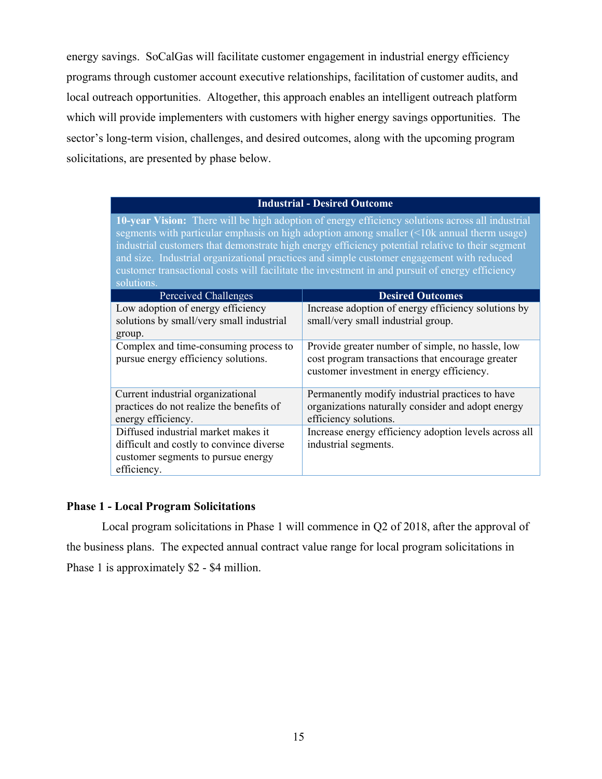energy savings. SoCalGas will facilitate customer engagement in industrial energy efficiency programs through customer account executive relationships, facilitation of customer audits, and local outreach opportunities. Altogether, this approach enables an intelligent outreach platform which will provide implementers with customers with higher energy savings opportunities. The sector's long-term vision, challenges, and desired outcomes, along with the upcoming program solicitations, are presented by phase below.

#### **Industrial - Desired Outcome**

**10-year Vision:** There will be high adoption of energy efficiency solutions across all industrial segments with particular emphasis on high adoption among smaller (<10k annual therm usage) industrial customers that demonstrate high energy efficiency potential relative to their segment and size. Industrial organizational practices and simple customer engagement with reduced customer transactional costs will facilitate the investment in and pursuit of energy efficiency solutions.

| Perceived Challenges                     | <b>Desired Outcomes</b>                               |
|------------------------------------------|-------------------------------------------------------|
| Low adoption of energy efficiency        | Increase adoption of energy efficiency solutions by   |
| solutions by small/very small industrial | small/very small industrial group.                    |
| group.                                   |                                                       |
| Complex and time-consuming process to    | Provide greater number of simple, no hassle, low      |
| pursue energy efficiency solutions.      | cost program transactions that encourage greater      |
|                                          | customer investment in energy efficiency.             |
|                                          |                                                       |
| Current industrial organizational        | Permanently modify industrial practices to have       |
| practices do not realize the benefits of | organizations naturally consider and adopt energy     |
| energy efficiency.                       | efficiency solutions.                                 |
| Diffused industrial market makes it      | Increase energy efficiency adoption levels across all |
| difficult and costly to convince diverse | industrial segments.                                  |
| customer segments to pursue energy       |                                                       |
| efficiency.                              |                                                       |

#### **Phase 1 - Local Program Solicitations**

Local program solicitations in Phase 1 will commence in Q2 of 2018, after the approval of the business plans. The expected annual contract value range for local program solicitations in Phase 1 is approximately \$2 - \$4 million.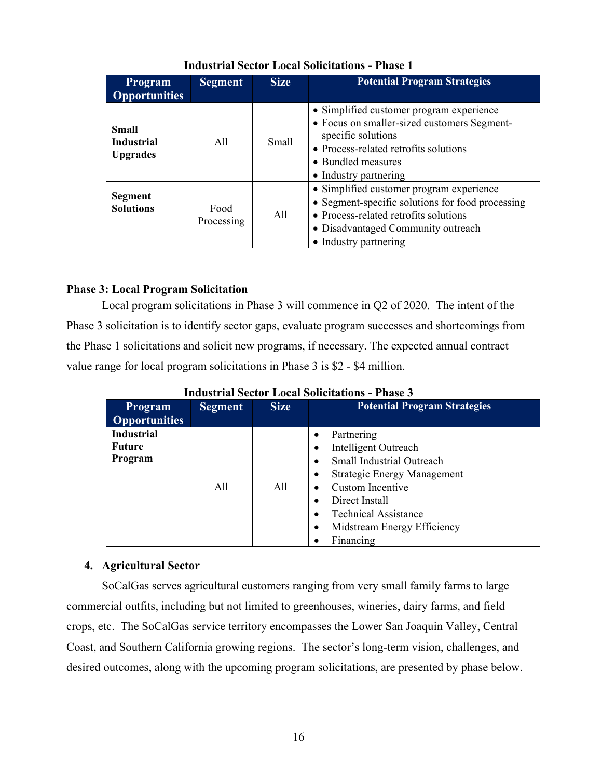| <b>Program</b><br><b>Opportunities</b>               | <b>Segment</b>     | <b>Size</b>  | <b>Potential Program Strategies</b>                                                                                                                                                                   |
|------------------------------------------------------|--------------------|--------------|-------------------------------------------------------------------------------------------------------------------------------------------------------------------------------------------------------|
| <b>Small</b><br><b>Industrial</b><br><b>Upgrades</b> | A11                | <b>Small</b> | • Simplified customer program experience<br>• Focus on smaller-sized customers Segment-<br>specific solutions<br>• Process-related retrofits solutions<br>• Bundled measures<br>• Industry partnering |
| <b>Segment</b><br><b>Solutions</b>                   | Food<br>Processing | All          | · Simplified customer program experience<br>• Segment-specific solutions for food processing<br>• Process-related retrofits solutions<br>• Disadvantaged Community outreach<br>• Industry partnering  |

# **Industrial Sector Local Solicitations - Phase 1**

# **Phase 3: Local Program Solicitation**

Local program solicitations in Phase 3 will commence in Q2 of 2020. The intent of the Phase 3 solicitation is to identify sector gaps, evaluate program successes and shortcomings from the Phase 1 solicitations and solicit new programs, if necessary. The expected annual contract value range for local program solicitations in Phase 3 is \$2 - \$4 million.

| <b>Program</b><br><b>Opportunities</b>        | <b>Segment</b> | <b>Size</b> | <b>Potential Program Strategies</b>                                                                                                                                                                                                                          |
|-----------------------------------------------|----------------|-------------|--------------------------------------------------------------------------------------------------------------------------------------------------------------------------------------------------------------------------------------------------------------|
| <b>Industrial</b><br><b>Future</b><br>Program | A11            | All         | Partnering<br>$\bullet$<br>Intelligent Outreach<br><b>Small Industrial Outreach</b><br><b>Strategic Energy Management</b><br>Custom Incentive<br>Direct Install<br><b>Technical Assistance</b><br>$\bullet$<br>Midstream Energy Efficiency<br>٠<br>Financing |

**Industrial Sector Local Solicitations - Phase 3** 

# **4. Agricultural Sector**

SoCalGas serves agricultural customers ranging from very small family farms to large commercial outfits, including but not limited to greenhouses, wineries, dairy farms, and field crops, etc. The SoCalGas service territory encompasses the Lower San Joaquin Valley, Central Coast, and Southern California growing regions. The sector's long-term vision, challenges, and desired outcomes, along with the upcoming program solicitations, are presented by phase below.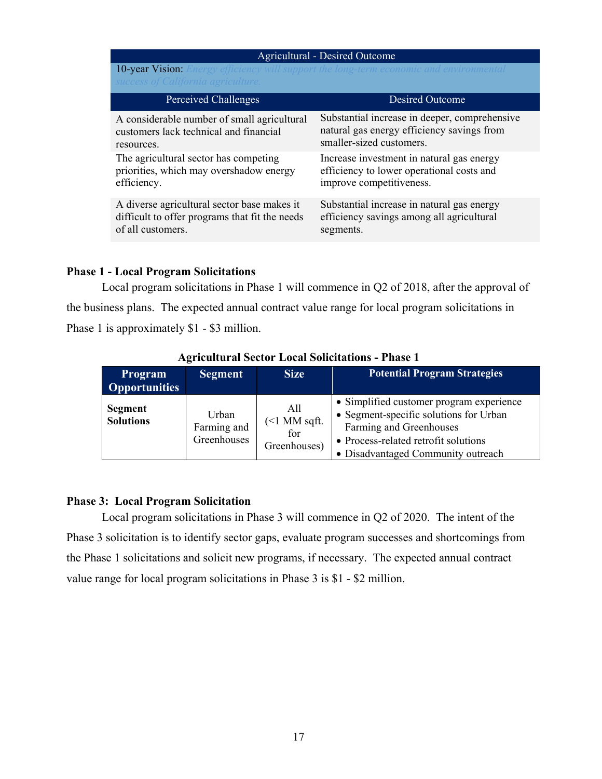#### Agricultural - Desired Outcome

10-year Vision: *Energy efficiency will support the long-term economic and environmental* 

| Perceived Challenges                           | <b>Desired Outcome</b>                        |
|------------------------------------------------|-----------------------------------------------|
| A considerable number of small agricultural    | Substantial increase in deeper, comprehensive |
| customers lack technical and financial         | natural gas energy efficiency savings from    |
| resources.                                     | smaller-sized customers.                      |
| The agricultural sector has competing          | Increase investment in natural gas energy     |
| priorities, which may overshadow energy        | efficiency to lower operational costs and     |
| efficiency.                                    | improve competitiveness.                      |
| A diverse agricultural sector base makes it    | Substantial increase in natural gas energy    |
| difficult to offer programs that fit the needs | efficiency savings among all agricultural     |
| of all customers.                              | segments.                                     |

#### **Phase 1 - Local Program Solicitations**

Local program solicitations in Phase 1 will commence in Q2 of 2018, after the approval of the business plans. The expected annual contract value range for local program solicitations in Phase 1 is approximately \$1 - \$3 million.

| <b>Program</b><br><b>Opportunities</b> | <b>Segment</b>                      | <b>Size</b>                                    | <b>Potential Program Strategies</b>                                                                                                                                                         |  |
|----------------------------------------|-------------------------------------|------------------------------------------------|---------------------------------------------------------------------------------------------------------------------------------------------------------------------------------------------|--|
| <b>Segment</b><br><b>Solutions</b>     | Urban<br>Farming and<br>Greenhouses | All<br>$($ $1$ MM sqft.<br>for<br>Greenhouses) | • Simplified customer program experience<br>• Segment-specific solutions for Urban<br>Farming and Greenhouses<br>• Process-related retrofit solutions<br>• Disadvantaged Community outreach |  |

# **Agricultural Sector Local Solicitations - Phase 1**

#### **Phase 3: Local Program Solicitation**

Local program solicitations in Phase 3 will commence in Q2 of 2020. The intent of the Phase 3 solicitation is to identify sector gaps, evaluate program successes and shortcomings from the Phase 1 solicitations and solicit new programs, if necessary. The expected annual contract value range for local program solicitations in Phase 3 is \$1 - \$2 million.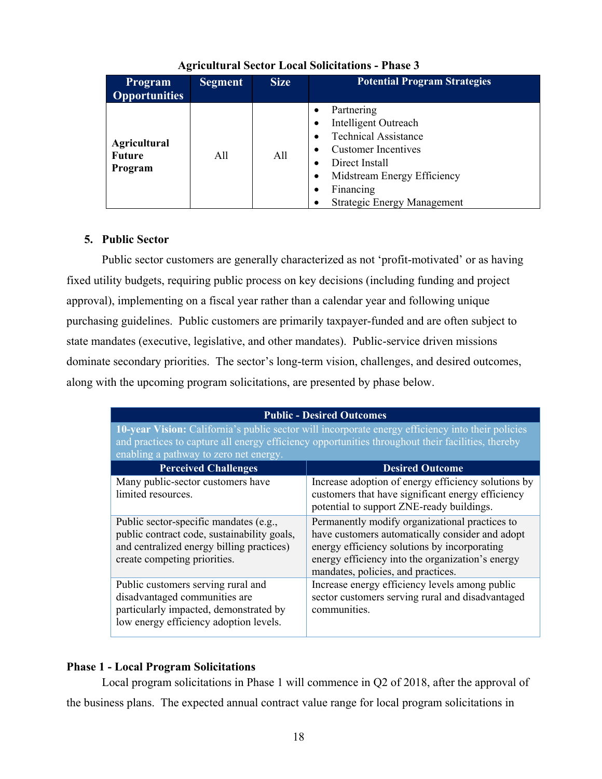| <b>Program</b><br><b>Opportunities</b>          | <b>Segment</b> | <b>Size</b> | <b>Potential Program Strategies</b>                                                                                                                                                                 |
|-------------------------------------------------|----------------|-------------|-----------------------------------------------------------------------------------------------------------------------------------------------------------------------------------------------------|
| <b>Agricultural</b><br><b>Future</b><br>Program | All            | All         | Partnering<br>Intelligent Outreach<br><b>Technical Assistance</b><br><b>Customer Incentives</b><br>Direct Install<br>Midstream Energy Efficiency<br>Financing<br><b>Strategic Energy Management</b> |

# **Agricultural Sector Local Solicitations - Phase 3**

## **5. Public Sector**

Public sector customers are generally characterized as not 'profit-motivated' or as having fixed utility budgets, requiring public process on key decisions (including funding and project approval), implementing on a fiscal year rather than a calendar year and following unique purchasing guidelines. Public customers are primarily taxpayer-funded and are often subject to state mandates (executive, legislative, and other mandates). Public-service driven missions dominate secondary priorities. The sector's long-term vision, challenges, and desired outcomes, along with the upcoming program solicitations, are presented by phase below.

|                                                                                                                                                                                                                                                  | <b>Public - Desired Outcomes</b>                                                                                                                                                                                                            |  |  |
|--------------------------------------------------------------------------------------------------------------------------------------------------------------------------------------------------------------------------------------------------|---------------------------------------------------------------------------------------------------------------------------------------------------------------------------------------------------------------------------------------------|--|--|
| 10-year Vision: California's public sector will incorporate energy efficiency into their policies<br>and practices to capture all energy efficiency opportunities throughout their facilities, thereby<br>enabling a pathway to zero net energy. |                                                                                                                                                                                                                                             |  |  |
| <b>Perceived Challenges</b>                                                                                                                                                                                                                      | <b>Desired Outcome</b>                                                                                                                                                                                                                      |  |  |
| Many public-sector customers have<br>limited resources.                                                                                                                                                                                          | Increase adoption of energy efficiency solutions by<br>customers that have significant energy efficiency<br>potential to support ZNE-ready buildings.                                                                                       |  |  |
| Public sector-specific mandates (e.g.,<br>public contract code, sustainability goals,<br>and centralized energy billing practices)<br>create competing priorities.                                                                               | Permanently modify organizational practices to<br>have customers automatically consider and adopt<br>energy efficiency solutions by incorporating<br>energy efficiency into the organization's energy<br>mandates, policies, and practices. |  |  |
| Public customers serving rural and<br>disadvantaged communities are<br>particularly impacted, demonstrated by<br>low energy efficiency adoption levels.                                                                                          | Increase energy efficiency levels among public<br>sector customers serving rural and disadvantaged<br>communities.                                                                                                                          |  |  |

# **Phase 1 - Local Program Solicitations**

Local program solicitations in Phase 1 will commence in Q2 of 2018, after the approval of the business plans. The expected annual contract value range for local program solicitations in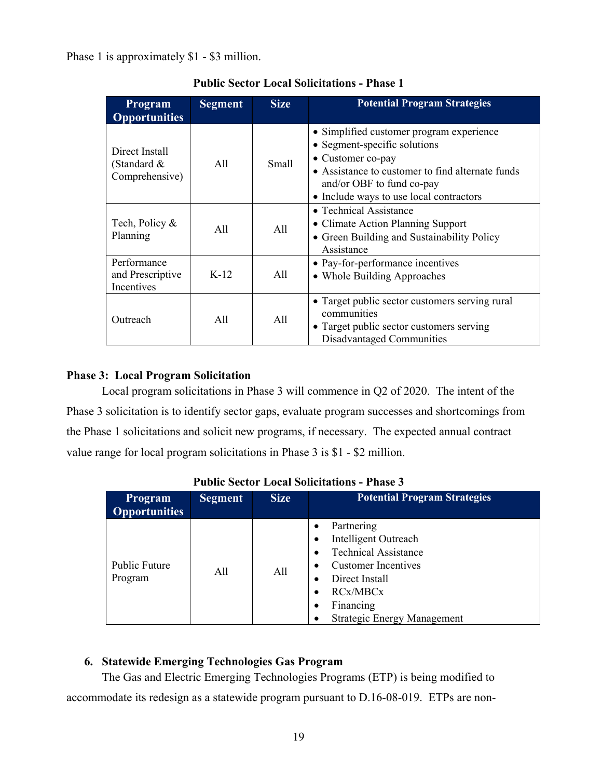Phase 1 is approximately \$1 - \$3 million.

| Program<br><b>Opportunities</b>                 | <b>Segment</b> | <b>Size</b>  | <b>Potential Program Strategies</b>                                                                                                                                                                                       |
|-------------------------------------------------|----------------|--------------|---------------------------------------------------------------------------------------------------------------------------------------------------------------------------------------------------------------------------|
| Direct Install<br>(Standard &<br>Comprehensive) | A11            | <b>Small</b> | • Simplified customer program experience<br>• Segment-specific solutions<br>• Customer co-pay<br>• Assistance to customer to find alternate funds<br>and/or OBF to fund co-pay<br>• Include ways to use local contractors |
| Tech, Policy &<br>Planning                      | A11            | All          | • Technical Assistance<br>• Climate Action Planning Support<br>• Green Building and Sustainability Policy<br>Assistance                                                                                                   |
| Performance<br>and Prescriptive<br>Incentives   | $K-12$         | All          | • Pay-for-performance incentives<br>• Whole Building Approaches                                                                                                                                                           |
| Outreach                                        | All            | All          | • Target public sector customers serving rural<br>communities<br>• Target public sector customers serving<br>Disadvantaged Communities                                                                                    |

# **Public Sector Local Solicitations - Phase 1**

## **Phase 3: Local Program Solicitation**

Local program solicitations in Phase 3 will commence in Q2 of 2020. The intent of the Phase 3 solicitation is to identify sector gaps, evaluate program successes and shortcomings from the Phase 1 solicitations and solicit new programs, if necessary. The expected annual contract value range for local program solicitations in Phase 3 is \$1 - \$2 million.

| <b>Program</b><br><b>Opportunities</b> | <b>Segment</b> | <b>Size</b> | <b>Potential Program Strategies</b>                                                                                                                                              |
|----------------------------------------|----------------|-------------|----------------------------------------------------------------------------------------------------------------------------------------------------------------------------------|
| <b>Public Future</b><br>Program        | A11            | A11         | Partnering<br>Intelligent Outreach<br><b>Technical Assistance</b><br>Customer Incentives<br>Direct Install<br><b>RCx/MBCx</b><br>Financing<br><b>Strategic Energy Management</b> |

## **Public Sector Local Solicitations - Phase 3**

## **6. Statewide Emerging Technologies Gas Program**

The Gas and Electric Emerging Technologies Programs (ETP) is being modified to accommodate its redesign as a statewide program pursuant to D.16-08-019. ETPs are non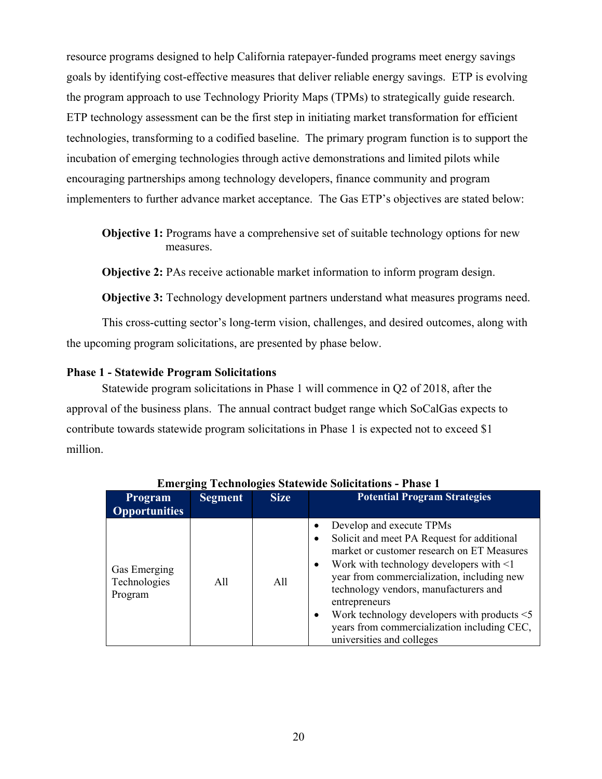resource programs designed to help California ratepayer-funded programs meet energy savings goals by identifying cost-effective measures that deliver reliable energy savings. ETP is evolving the program approach to use Technology Priority Maps (TPMs) to strategically guide research. ETP technology assessment can be the first step in initiating market transformation for efficient technologies, transforming to a codified baseline. The primary program function is to support the incubation of emerging technologies through active demonstrations and limited pilots while encouraging partnerships among technology developers, finance community and program implementers to further advance market acceptance. The Gas ETP's objectives are stated below:

**Objective 1:** Programs have a comprehensive set of suitable technology options for new measures.

**Objective 2:** PAs receive actionable market information to inform program design.

**Objective 3:** Technology development partners understand what measures programs need.

This cross-cutting sector's long-term vision, challenges, and desired outcomes, along with the upcoming program solicitations, are presented by phase below.

#### **Phase 1 - Statewide Program Solicitations**

Statewide program solicitations in Phase 1 will commence in Q2 of 2018, after the approval of the business plans. The annual contract budget range which SoCalGas expects to contribute towards statewide program solicitations in Phase 1 is expected not to exceed \$1 million.

| ETHER TECHNOLOGIES DIARCHIAE DOIRTIANONS - I HASE I |                |             |                                                                                                                                                                                                                                                                                                                                                                                                                             |
|-----------------------------------------------------|----------------|-------------|-----------------------------------------------------------------------------------------------------------------------------------------------------------------------------------------------------------------------------------------------------------------------------------------------------------------------------------------------------------------------------------------------------------------------------|
| <b>Program</b><br><b>Opportunities</b>              | <b>Segment</b> | <b>Size</b> | <b>Potential Program Strategies</b>                                                                                                                                                                                                                                                                                                                                                                                         |
| Gas Emerging<br>Technologies<br>Program             | All            | All         | Develop and execute TPMs<br>Solicit and meet PA Request for additional<br>market or customer research on ET Measures<br>Work with technology developers with $\leq 1$<br>$\bullet$<br>year from commercialization, including new<br>technology vendors, manufacturers and<br>entrepreneurs<br>Work technology developers with products $\leq$ 5<br>years from commercialization including CEC,<br>universities and colleges |

**Emerging Technologies Statewide Solicitations - Phase 1**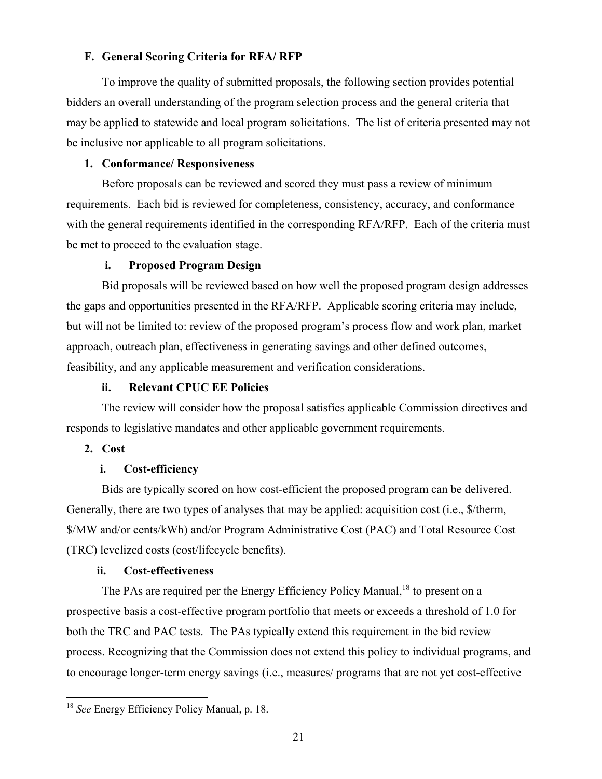#### **F. General Scoring Criteria for RFA/ RFP**

To improve the quality of submitted proposals, the following section provides potential bidders an overall understanding of the program selection process and the general criteria that may be applied to statewide and local program solicitations. The list of criteria presented may not be inclusive nor applicable to all program solicitations.

# **1. Conformance/ Responsiveness**

Before proposals can be reviewed and scored they must pass a review of minimum requirements. Each bid is reviewed for completeness, consistency, accuracy, and conformance with the general requirements identified in the corresponding RFA/RFP. Each of the criteria must be met to proceed to the evaluation stage.

#### **i. Proposed Program Design**

Bid proposals will be reviewed based on how well the proposed program design addresses the gaps and opportunities presented in the RFA/RFP. Applicable scoring criteria may include, but will not be limited to: review of the proposed program's process flow and work plan, market approach, outreach plan, effectiveness in generating savings and other defined outcomes, feasibility, and any applicable measurement and verification considerations.

#### **ii. Relevant CPUC EE Policies**

The review will consider how the proposal satisfies applicable Commission directives and responds to legislative mandates and other applicable government requirements.

#### **2. Cost**

#### **i. Cost-efficiency**

Bids are typically scored on how cost-efficient the proposed program can be delivered. Generally, there are two types of analyses that may be applied: acquisition cost (i.e., \$/therm, \$/MW and/or cents/kWh) and/or Program Administrative Cost (PAC) and Total Resource Cost (TRC) levelized costs (cost/lifecycle benefits).

#### **ii. Cost-effectiveness**

The PAs are required per the Energy Efficiency Policy Manual,<sup>18</sup> to present on a prospective basis a cost-effective program portfolio that meets or exceeds a threshold of 1.0 for both the TRC and PAC tests. The PAs typically extend this requirement in the bid review process. Recognizing that the Commission does not extend this policy to individual programs, and to encourage longer-term energy savings (i.e., measures/ programs that are not yet cost-effective

<sup>18</sup> *See* Energy Efficiency Policy Manual, p. 18.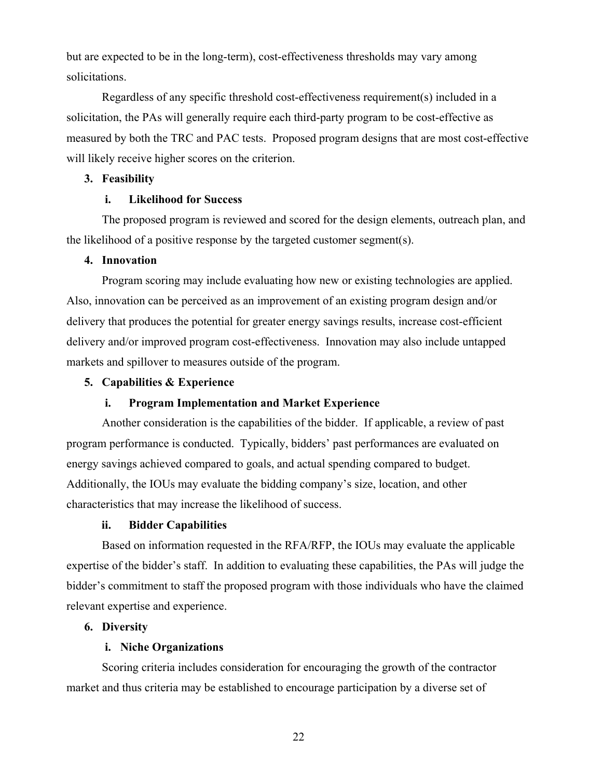but are expected to be in the long-term), cost-effectiveness thresholds may vary among solicitations.

Regardless of any specific threshold cost-effectiveness requirement(s) included in a solicitation, the PAs will generally require each third-party program to be cost-effective as measured by both the TRC and PAC tests. Proposed program designs that are most cost-effective will likely receive higher scores on the criterion.

# **3. Feasibility**

#### **i. Likelihood for Success**

The proposed program is reviewed and scored for the design elements, outreach plan, and the likelihood of a positive response by the targeted customer segment(s).

# **4. Innovation**

Program scoring may include evaluating how new or existing technologies are applied. Also, innovation can be perceived as an improvement of an existing program design and/or delivery that produces the potential for greater energy savings results, increase cost-efficient delivery and/or improved program cost-effectiveness. Innovation may also include untapped markets and spillover to measures outside of the program.

#### **5. Capabilities & Experience**

## **i. Program Implementation and Market Experience**

Another consideration is the capabilities of the bidder. If applicable, a review of past program performance is conducted. Typically, bidders' past performances are evaluated on energy savings achieved compared to goals, and actual spending compared to budget. Additionally, the IOUs may evaluate the bidding company's size, location, and other characteristics that may increase the likelihood of success.

## **ii. Bidder Capabilities**

Based on information requested in the RFA/RFP, the IOUs may evaluate the applicable expertise of the bidder's staff. In addition to evaluating these capabilities, the PAs will judge the bidder's commitment to staff the proposed program with those individuals who have the claimed relevant expertise and experience.

#### **6. Diversity**

## **i. Niche Organizations**

Scoring criteria includes consideration for encouraging the growth of the contractor market and thus criteria may be established to encourage participation by a diverse set of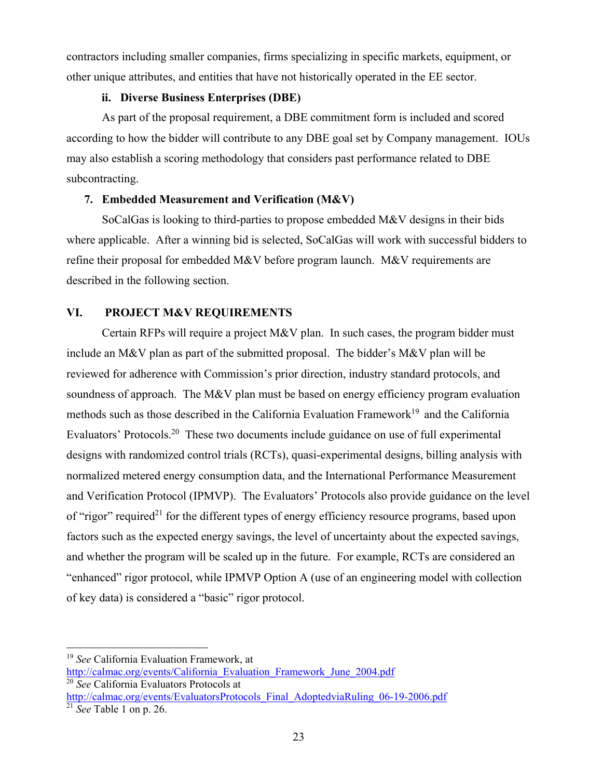contractors including smaller companies, firms specializing in specific markets, equipment, or other unique attributes, and entities that have not historically operated in the EE sector.

# **ii. Diverse Business Enterprises (DBE)**

As part of the proposal requirement, a DBE commitment form is included and scored according to how the bidder will contribute to any DBE goal set by Company management. IOUs may also establish a scoring methodology that considers past performance related to DBE subcontracting.

## **7. Embedded Measurement and Verification (M&V)**

SoCalGas is looking to third-parties to propose embedded M&V designs in their bids where applicable. After a winning bid is selected, SoCalGas will work with successful bidders to refine their proposal for embedded M&V before program launch. M&V requirements are described in the following section.

# **VI. PROJECT M&V REQUIREMENTS**

Certain RFPs will require a project M&V plan. In such cases, the program bidder must include an M&V plan as part of the submitted proposal. The bidder's M&V plan will be reviewed for adherence with Commission's prior direction, industry standard protocols, and soundness of approach. The M&V plan must be based on energy efficiency program evaluation methods such as those described in the California Evaluation Framework<sup>19</sup> and the California Evaluators' Protocols.20 These two documents include guidance on use of full experimental designs with randomized control trials (RCTs), quasi-experimental designs, billing analysis with normalized metered energy consumption data, and the International Performance Measurement and Verification Protocol (IPMVP). The Evaluators' Protocols also provide guidance on the level of "rigor" required<sup>21</sup> for the different types of energy efficiency resource programs, based upon factors such as the expected energy savings, the level of uncertainty about the expected savings, and whether the program will be scaled up in the future. For example, RCTs are considered an "enhanced" rigor protocol, while IPMVP Option A (use of an engineering model with collection of key data) is considered a "basic" rigor protocol.

<sup>19</sup> *See* California Evaluation Framework, at http://calmac.org/events/California\_Evaluation\_Framework\_June\_2004.pdf 20 *See* California Evaluators Protocols at

http://calmac.org/events/EvaluatorsProtocols\_Final\_AdoptedviaRuling\_06-19-2006.pdf 21 *See* Table 1 on p. 26.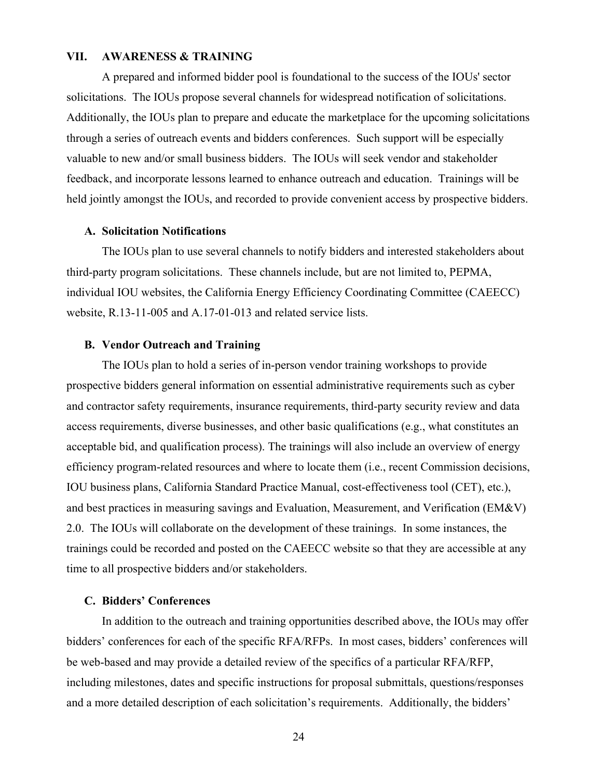#### **VII. AWARENESS & TRAINING**

A prepared and informed bidder pool is foundational to the success of the IOUs' sector solicitations. The IOUs propose several channels for widespread notification of solicitations. Additionally, the IOUs plan to prepare and educate the marketplace for the upcoming solicitations through a series of outreach events and bidders conferences. Such support will be especially valuable to new and/or small business bidders. The IOUs will seek vendor and stakeholder feedback, and incorporate lessons learned to enhance outreach and education. Trainings will be held jointly amongst the IOUs, and recorded to provide convenient access by prospective bidders.

#### **A. Solicitation Notifications**

The IOUs plan to use several channels to notify bidders and interested stakeholders about third-party program solicitations. These channels include, but are not limited to, PEPMA, individual IOU websites, the California Energy Efficiency Coordinating Committee (CAEECC) website, R.13-11-005 and A.17-01-013 and related service lists.

#### **B. Vendor Outreach and Training**

The IOUs plan to hold a series of in-person vendor training workshops to provide prospective bidders general information on essential administrative requirements such as cyber and contractor safety requirements, insurance requirements, third-party security review and data access requirements, diverse businesses, and other basic qualifications (e.g., what constitutes an acceptable bid, and qualification process). The trainings will also include an overview of energy efficiency program-related resources and where to locate them (i.e., recent Commission decisions, IOU business plans, California Standard Practice Manual, cost-effectiveness tool (CET), etc.), and best practices in measuring savings and Evaluation, Measurement, and Verification (EM&V) 2.0. The IOUs will collaborate on the development of these trainings. In some instances, the trainings could be recorded and posted on the CAEECC website so that they are accessible at any time to all prospective bidders and/or stakeholders.

#### **C. Bidders' Conferences**

In addition to the outreach and training opportunities described above, the IOUs may offer bidders' conferences for each of the specific RFA/RFPs. In most cases, bidders' conferences will be web-based and may provide a detailed review of the specifics of a particular RFA/RFP, including milestones, dates and specific instructions for proposal submittals, questions/responses and a more detailed description of each solicitation's requirements. Additionally, the bidders'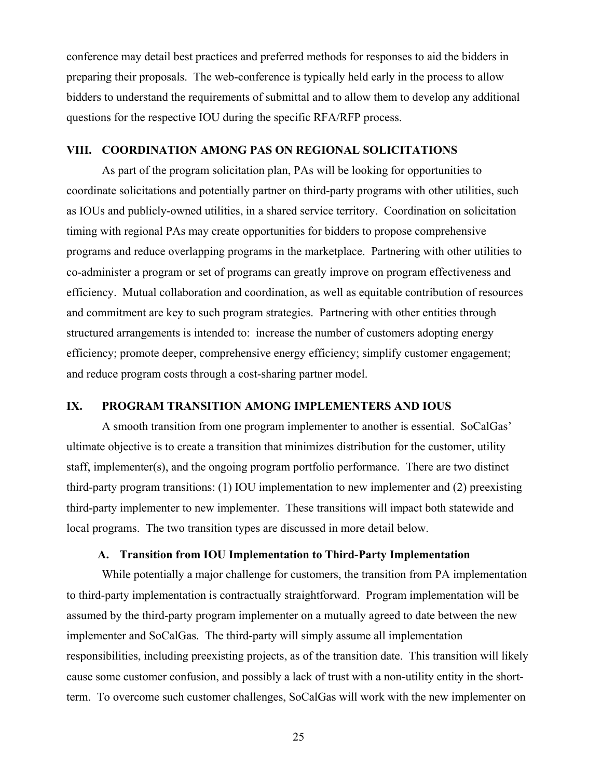conference may detail best practices and preferred methods for responses to aid the bidders in preparing their proposals. The web-conference is typically held early in the process to allow bidders to understand the requirements of submittal and to allow them to develop any additional questions for the respective IOU during the specific RFA/RFP process.

#### **VIII. COORDINATION AMONG PAS ON REGIONAL SOLICITATIONS**

As part of the program solicitation plan, PAs will be looking for opportunities to coordinate solicitations and potentially partner on third-party programs with other utilities, such as IOUs and publicly-owned utilities, in a shared service territory. Coordination on solicitation timing with regional PAs may create opportunities for bidders to propose comprehensive programs and reduce overlapping programs in the marketplace. Partnering with other utilities to co-administer a program or set of programs can greatly improve on program effectiveness and efficiency. Mutual collaboration and coordination, as well as equitable contribution of resources and commitment are key to such program strategies. Partnering with other entities through structured arrangements is intended to: increase the number of customers adopting energy efficiency; promote deeper, comprehensive energy efficiency; simplify customer engagement; and reduce program costs through a cost-sharing partner model.

#### **IX. PROGRAM TRANSITION AMONG IMPLEMENTERS AND IOUS**

A smooth transition from one program implementer to another is essential. SoCalGas' ultimate objective is to create a transition that minimizes distribution for the customer, utility staff, implementer(s), and the ongoing program portfolio performance. There are two distinct third-party program transitions: (1) IOU implementation to new implementer and (2) preexisting third-party implementer to new implementer. These transitions will impact both statewide and local programs. The two transition types are discussed in more detail below.

#### **A. Transition from IOU Implementation to Third-Party Implementation**

While potentially a major challenge for customers, the transition from PA implementation to third-party implementation is contractually straightforward. Program implementation will be assumed by the third-party program implementer on a mutually agreed to date between the new implementer and SoCalGas. The third-party will simply assume all implementation responsibilities, including preexisting projects, as of the transition date. This transition will likely cause some customer confusion, and possibly a lack of trust with a non-utility entity in the shortterm. To overcome such customer challenges, SoCalGas will work with the new implementer on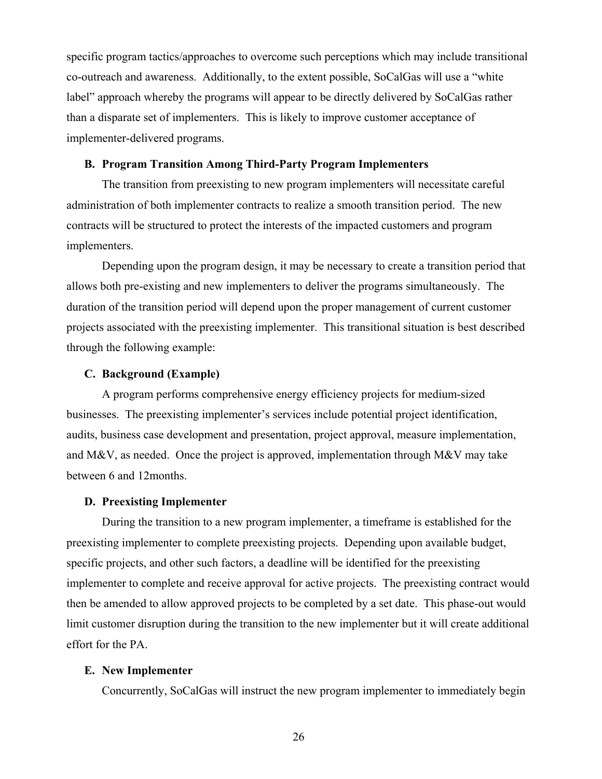specific program tactics/approaches to overcome such perceptions which may include transitional co-outreach and awareness. Additionally, to the extent possible, SoCalGas will use a "white label" approach whereby the programs will appear to be directly delivered by SoCalGas rather than a disparate set of implementers. This is likely to improve customer acceptance of implementer-delivered programs.

#### **B. Program Transition Among Third-Party Program Implementers**

The transition from preexisting to new program implementers will necessitate careful administration of both implementer contracts to realize a smooth transition period. The new contracts will be structured to protect the interests of the impacted customers and program implementers.

Depending upon the program design, it may be necessary to create a transition period that allows both pre-existing and new implementers to deliver the programs simultaneously. The duration of the transition period will depend upon the proper management of current customer projects associated with the preexisting implementer. This transitional situation is best described through the following example:

#### **C. Background (Example)**

A program performs comprehensive energy efficiency projects for medium-sized businesses. The preexisting implementer's services include potential project identification, audits, business case development and presentation, project approval, measure implementation, and M&V, as needed. Once the project is approved, implementation through M&V may take between 6 and 12months.

#### **D. Preexisting Implementer**

During the transition to a new program implementer, a timeframe is established for the preexisting implementer to complete preexisting projects. Depending upon available budget, specific projects, and other such factors, a deadline will be identified for the preexisting implementer to complete and receive approval for active projects. The preexisting contract would then be amended to allow approved projects to be completed by a set date. This phase-out would limit customer disruption during the transition to the new implementer but it will create additional effort for the PA.

#### **E. New Implementer**

Concurrently, SoCalGas will instruct the new program implementer to immediately begin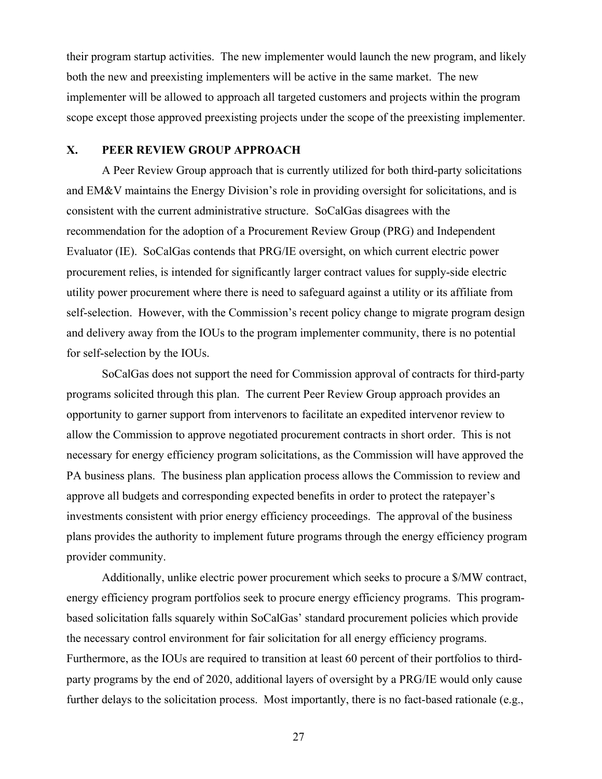their program startup activities. The new implementer would launch the new program, and likely both the new and preexisting implementers will be active in the same market. The new implementer will be allowed to approach all targeted customers and projects within the program scope except those approved preexisting projects under the scope of the preexisting implementer.

#### **X. PEER REVIEW GROUP APPROACH**

A Peer Review Group approach that is currently utilized for both third-party solicitations and EM&V maintains the Energy Division's role in providing oversight for solicitations, and is consistent with the current administrative structure. SoCalGas disagrees with the recommendation for the adoption of a Procurement Review Group (PRG) and Independent Evaluator (IE). SoCalGas contends that PRG/IE oversight, on which current electric power procurement relies, is intended for significantly larger contract values for supply-side electric utility power procurement where there is need to safeguard against a utility or its affiliate from self-selection. However, with the Commission's recent policy change to migrate program design and delivery away from the IOUs to the program implementer community, there is no potential for self-selection by the IOUs.

SoCalGas does not support the need for Commission approval of contracts for third-party programs solicited through this plan. The current Peer Review Group approach provides an opportunity to garner support from intervenors to facilitate an expedited intervenor review to allow the Commission to approve negotiated procurement contracts in short order. This is not necessary for energy efficiency program solicitations, as the Commission will have approved the PA business plans. The business plan application process allows the Commission to review and approve all budgets and corresponding expected benefits in order to protect the ratepayer's investments consistent with prior energy efficiency proceedings. The approval of the business plans provides the authority to implement future programs through the energy efficiency program provider community.

Additionally, unlike electric power procurement which seeks to procure a \$/MW contract, energy efficiency program portfolios seek to procure energy efficiency programs. This programbased solicitation falls squarely within SoCalGas' standard procurement policies which provide the necessary control environment for fair solicitation for all energy efficiency programs. Furthermore, as the IOUs are required to transition at least 60 percent of their portfolios to thirdparty programs by the end of 2020, additional layers of oversight by a PRG/IE would only cause further delays to the solicitation process. Most importantly, there is no fact-based rationale (e.g.,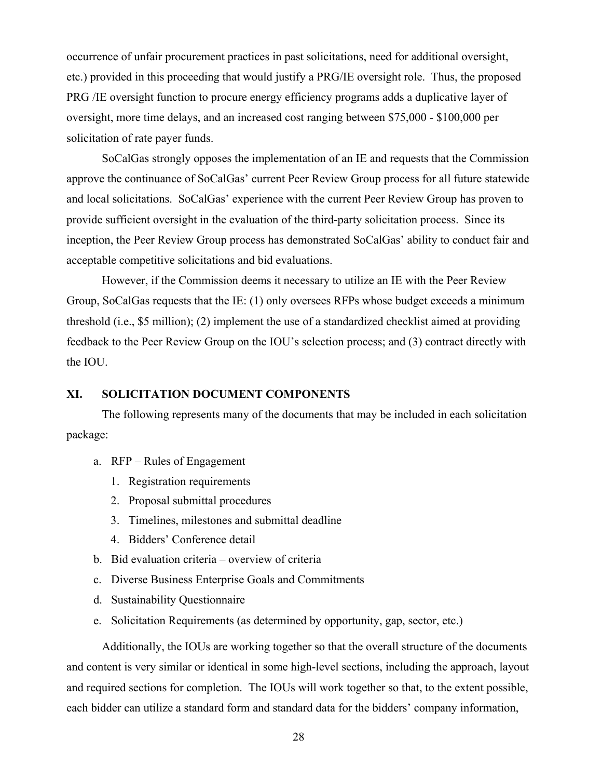occurrence of unfair procurement practices in past solicitations, need for additional oversight, etc.) provided in this proceeding that would justify a PRG/IE oversight role. Thus, the proposed PRG /IE oversight function to procure energy efficiency programs adds a duplicative layer of oversight, more time delays, and an increased cost ranging between \$75,000 - \$100,000 per solicitation of rate payer funds.

SoCalGas strongly opposes the implementation of an IE and requests that the Commission approve the continuance of SoCalGas' current Peer Review Group process for all future statewide and local solicitations. SoCalGas' experience with the current Peer Review Group has proven to provide sufficient oversight in the evaluation of the third-party solicitation process. Since its inception, the Peer Review Group process has demonstrated SoCalGas' ability to conduct fair and acceptable competitive solicitations and bid evaluations.

However, if the Commission deems it necessary to utilize an IE with the Peer Review Group, SoCalGas requests that the IE: (1) only oversees RFPs whose budget exceeds a minimum threshold (i.e., \$5 million); (2) implement the use of a standardized checklist aimed at providing feedback to the Peer Review Group on the IOU's selection process; and (3) contract directly with the IOU.

#### **XI. SOLICITATION DOCUMENT COMPONENTS**

The following represents many of the documents that may be included in each solicitation package:

- a. RFP Rules of Engagement
	- 1. Registration requirements
	- 2. Proposal submittal procedures
	- 3. Timelines, milestones and submittal deadline
	- 4. Bidders' Conference detail
- b. Bid evaluation criteria overview of criteria
- c. Diverse Business Enterprise Goals and Commitments
- d. Sustainability Questionnaire
- e. Solicitation Requirements (as determined by opportunity, gap, sector, etc.)

Additionally, the IOUs are working together so that the overall structure of the documents and content is very similar or identical in some high-level sections, including the approach, layout and required sections for completion. The IOUs will work together so that, to the extent possible, each bidder can utilize a standard form and standard data for the bidders' company information,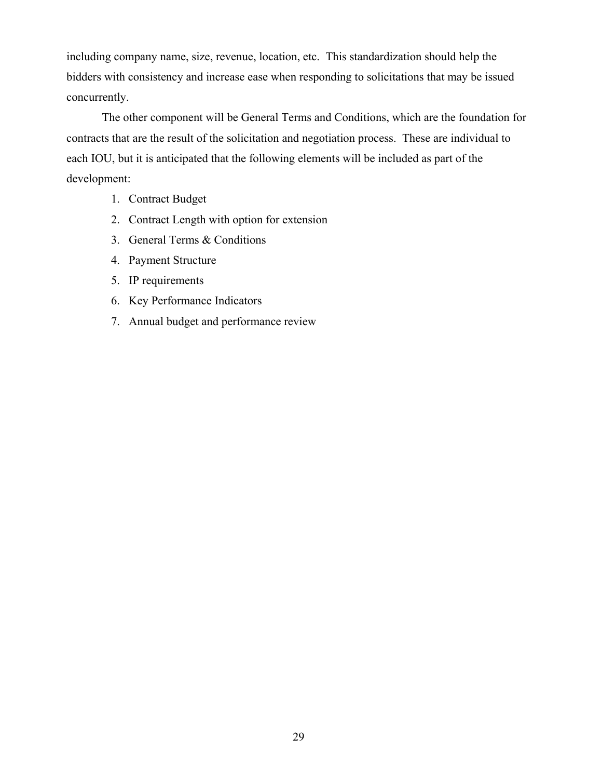including company name, size, revenue, location, etc. This standardization should help the bidders with consistency and increase ease when responding to solicitations that may be issued concurrently.

The other component will be General Terms and Conditions, which are the foundation for contracts that are the result of the solicitation and negotiation process. These are individual to each IOU, but it is anticipated that the following elements will be included as part of the development:

- 1. Contract Budget
- 2. Contract Length with option for extension
- 3. General Terms & Conditions
- 4. Payment Structure
- 5. IP requirements
- 6. Key Performance Indicators
- 7. Annual budget and performance review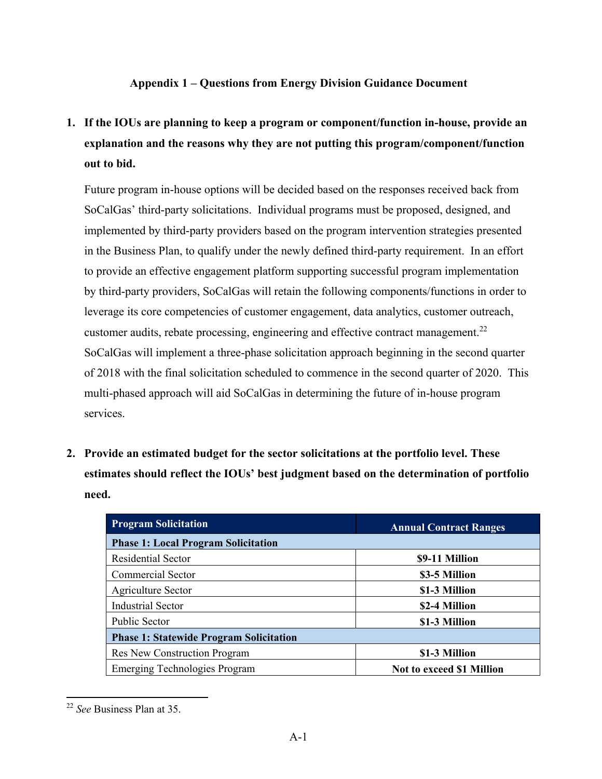# **Appendix 1 – Questions from Energy Division Guidance Document**

**1. If the IOUs are planning to keep a program or component/function in-house, provide an explanation and the reasons why they are not putting this program/component/function out to bid.** 

Future program in-house options will be decided based on the responses received back from SoCalGas' third-party solicitations. Individual programs must be proposed, designed, and implemented by third-party providers based on the program intervention strategies presented in the Business Plan, to qualify under the newly defined third-party requirement. In an effort to provide an effective engagement platform supporting successful program implementation by third-party providers, SoCalGas will retain the following components/functions in order to leverage its core competencies of customer engagement, data analytics, customer outreach, customer audits, rebate processing, engineering and effective contract management.<sup>22</sup> SoCalGas will implement a three-phase solicitation approach beginning in the second quarter of 2018 with the final solicitation scheduled to commence in the second quarter of 2020. This multi-phased approach will aid SoCalGas in determining the future of in-house program services.

**2. Provide an estimated budget for the sector solicitations at the portfolio level. These estimates should reflect the IOUs' best judgment based on the determination of portfolio need.** 

| <b>Program Solicitation</b>                    | <b>Annual Contract Ranges</b>    |  |  |
|------------------------------------------------|----------------------------------|--|--|
| <b>Phase 1: Local Program Solicitation</b>     |                                  |  |  |
| <b>Residential Sector</b>                      | \$9-11 Million                   |  |  |
| Commercial Sector                              | \$3-5 Million                    |  |  |
| Agriculture Sector                             | \$1-3 Million                    |  |  |
| <b>Industrial Sector</b>                       | \$2-4 Million                    |  |  |
| Public Sector                                  | \$1-3 Million                    |  |  |
| <b>Phase 1: Statewide Program Solicitation</b> |                                  |  |  |
| Res New Construction Program                   | \$1-3 Million                    |  |  |
| <b>Emerging Technologies Program</b>           | <b>Not to exceed \$1 Million</b> |  |  |

 <sup>22</sup> *See* Business Plan at 35.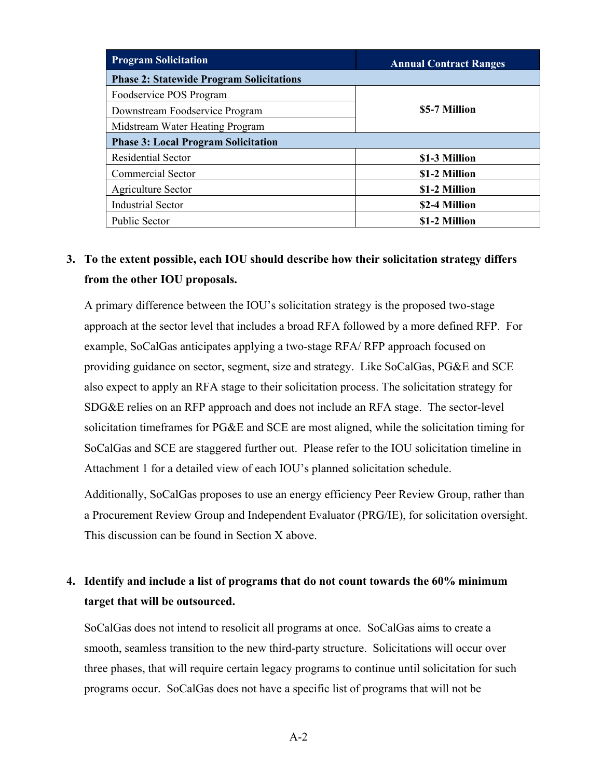| <b>Program Solicitation</b>                     | <b>Annual Contract Ranges</b> |  |  |  |
|-------------------------------------------------|-------------------------------|--|--|--|
| <b>Phase 2: Statewide Program Solicitations</b> |                               |  |  |  |
| Foodservice POS Program                         |                               |  |  |  |
| Downstream Foodservice Program                  | \$5-7 Million                 |  |  |  |
| Midstream Water Heating Program                 |                               |  |  |  |
| <b>Phase 3: Local Program Solicitation</b>      |                               |  |  |  |
| <b>Residential Sector</b>                       | \$1-3 Million                 |  |  |  |
| Commercial Sector                               | \$1-2 Million                 |  |  |  |
| Agriculture Sector                              | \$1-2 Million                 |  |  |  |
| <b>Industrial Sector</b>                        | \$2-4 Million                 |  |  |  |
| <b>Public Sector</b>                            | \$1-2 Million                 |  |  |  |

# **3. To the extent possible, each IOU should describe how their solicitation strategy differs from the other IOU proposals.**

A primary difference between the IOU's solicitation strategy is the proposed two-stage approach at the sector level that includes a broad RFA followed by a more defined RFP. For example, SoCalGas anticipates applying a two-stage RFA/ RFP approach focused on providing guidance on sector, segment, size and strategy. Like SoCalGas, PG&E and SCE also expect to apply an RFA stage to their solicitation process. The solicitation strategy for SDG&E relies on an RFP approach and does not include an RFA stage. The sector-level solicitation timeframes for PG&E and SCE are most aligned, while the solicitation timing for SoCalGas and SCE are staggered further out. Please refer to the IOU solicitation timeline in Attachment 1 for a detailed view of each IOU's planned solicitation schedule.

Additionally, SoCalGas proposes to use an energy efficiency Peer Review Group, rather than a Procurement Review Group and Independent Evaluator (PRG/IE), for solicitation oversight. This discussion can be found in Section X above.

# **4. Identify and include a list of programs that do not count towards the 60% minimum target that will be outsourced.**

SoCalGas does not intend to resolicit all programs at once. SoCalGas aims to create a smooth, seamless transition to the new third-party structure. Solicitations will occur over three phases, that will require certain legacy programs to continue until solicitation for such programs occur. SoCalGas does not have a specific list of programs that will not be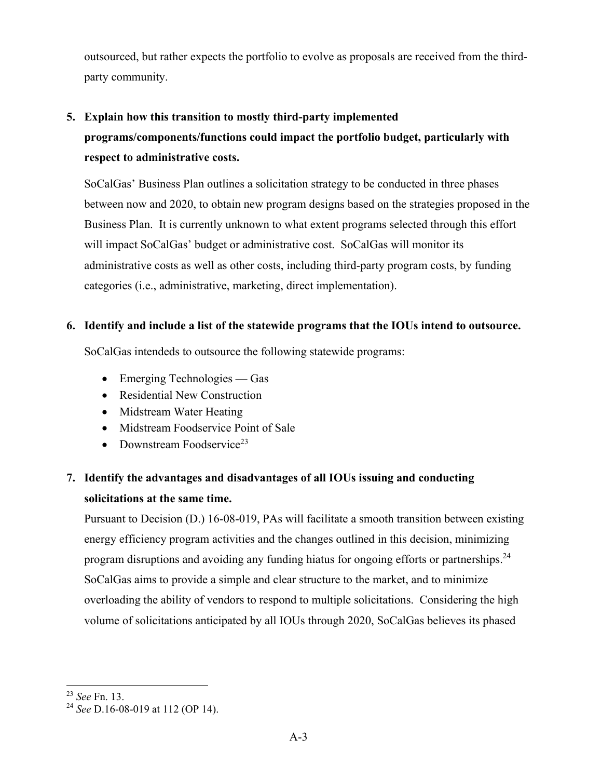outsourced, but rather expects the portfolio to evolve as proposals are received from the thirdparty community.

# **5. Explain how this transition to mostly third-party implemented programs/components/functions could impact the portfolio budget, particularly with respect to administrative costs.**

SoCalGas' Business Plan outlines a solicitation strategy to be conducted in three phases between now and 2020, to obtain new program designs based on the strategies proposed in the Business Plan. It is currently unknown to what extent programs selected through this effort will impact SoCalGas' budget or administrative cost. SoCalGas will monitor its administrative costs as well as other costs, including third-party program costs, by funding categories (i.e., administrative, marketing, direct implementation).

# **6. Identify and include a list of the statewide programs that the IOUs intend to outsource.**

SoCalGas intendeds to outsource the following statewide programs:

- $\bullet$  Emerging Technologies Gas
- Residential New Construction
- Midstream Water Heating
- Midstream Foodservice Point of Sale
- Downstream Foodservice<sup>23</sup>

# **7. Identify the advantages and disadvantages of all IOUs issuing and conducting solicitations at the same time.**

Pursuant to Decision (D.) 16-08-019, PAs will facilitate a smooth transition between existing energy efficiency program activities and the changes outlined in this decision, minimizing program disruptions and avoiding any funding hiatus for ongoing efforts or partnerships.<sup>24</sup> SoCalGas aims to provide a simple and clear structure to the market, and to minimize overloading the ability of vendors to respond to multiple solicitations. Considering the high volume of solicitations anticipated by all IOUs through 2020, SoCalGas believes its phased

<sup>23</sup> *See* Fn. 13.

<sup>24</sup> *See* D.16-08-019 at 112 (OP 14).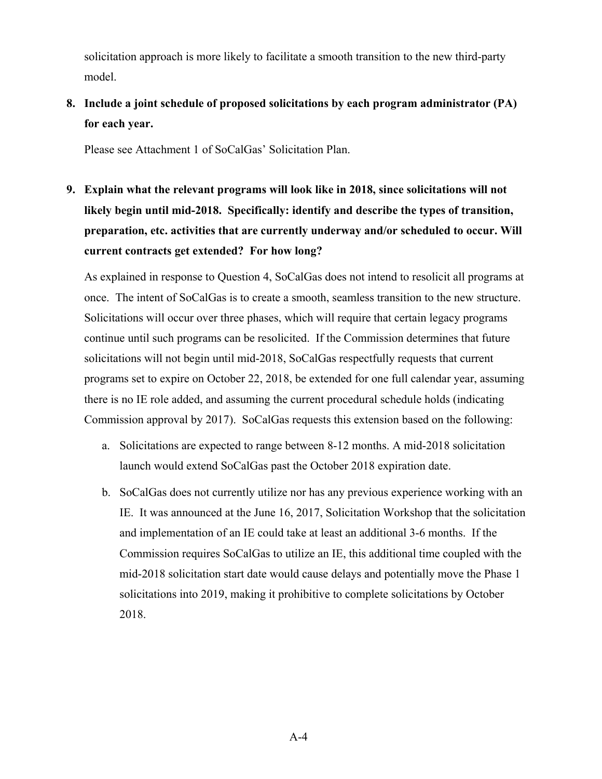solicitation approach is more likely to facilitate a smooth transition to the new third-party model.

**8. Include a joint schedule of proposed solicitations by each program administrator (PA) for each year.** 

Please see Attachment 1 of SoCalGas' Solicitation Plan.

**9. Explain what the relevant programs will look like in 2018, since solicitations will not likely begin until mid-2018. Specifically: identify and describe the types of transition, preparation, etc. activities that are currently underway and/or scheduled to occur. Will current contracts get extended? For how long?** 

As explained in response to Question 4, SoCalGas does not intend to resolicit all programs at once. The intent of SoCalGas is to create a smooth, seamless transition to the new structure. Solicitations will occur over three phases, which will require that certain legacy programs continue until such programs can be resolicited. If the Commission determines that future solicitations will not begin until mid-2018, SoCalGas respectfully requests that current programs set to expire on October 22, 2018, be extended for one full calendar year, assuming there is no IE role added, and assuming the current procedural schedule holds (indicating Commission approval by 2017). SoCalGas requests this extension based on the following:

- a. Solicitations are expected to range between 8-12 months. A mid-2018 solicitation launch would extend SoCalGas past the October 2018 expiration date.
- b. SoCalGas does not currently utilize nor has any previous experience working with an IE. It was announced at the June 16, 2017, Solicitation Workshop that the solicitation and implementation of an IE could take at least an additional 3-6 months. If the Commission requires SoCalGas to utilize an IE, this additional time coupled with the mid-2018 solicitation start date would cause delays and potentially move the Phase 1 solicitations into 2019, making it prohibitive to complete solicitations by October 2018.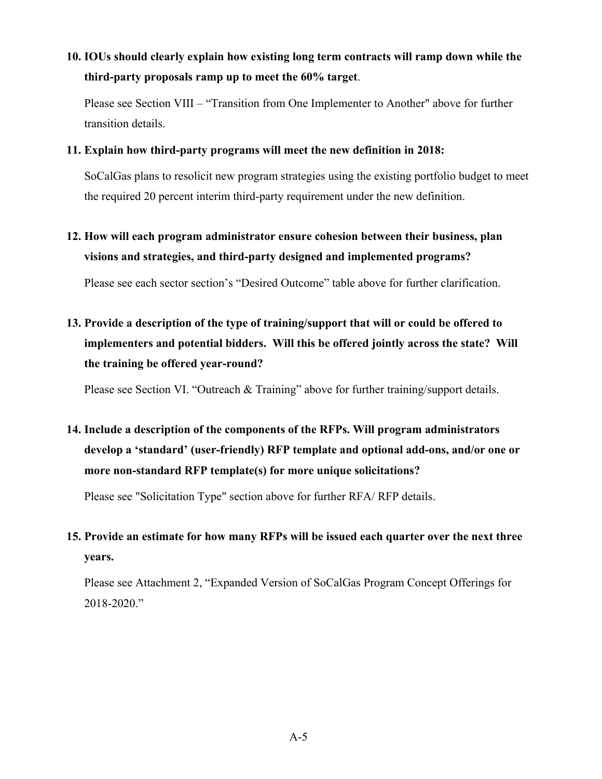**10. IOUs should clearly explain how existing long term contracts will ramp down while the third-party proposals ramp up to meet the 60% target**.

Please see Section VIII – "Transition from One Implementer to Another" above for further transition details.

#### **11. Explain how third-party programs will meet the new definition in 2018:**

SoCalGas plans to resolicit new program strategies using the existing portfolio budget to meet the required 20 percent interim third-party requirement under the new definition.

**12. How will each program administrator ensure cohesion between their business, plan visions and strategies, and third-party designed and implemented programs?** 

Please see each sector section's "Desired Outcome" table above for further clarification.

**13. Provide a description of the type of training/support that will or could be offered to implementers and potential bidders. Will this be offered jointly across the state? Will the training be offered year-round?** 

Please see Section VI. "Outreach & Training" above for further training/support details.

**14. Include a description of the components of the RFPs. Will program administrators develop a 'standard' (user-friendly) RFP template and optional add-ons, and/or one or more non-standard RFP template(s) for more unique solicitations?** 

Please see "Solicitation Type" section above for further RFA/ RFP details.

# **15. Provide an estimate for how many RFPs will be issued each quarter over the next three years.**

Please see Attachment 2, "Expanded Version of SoCalGas Program Concept Offerings for 2018-2020."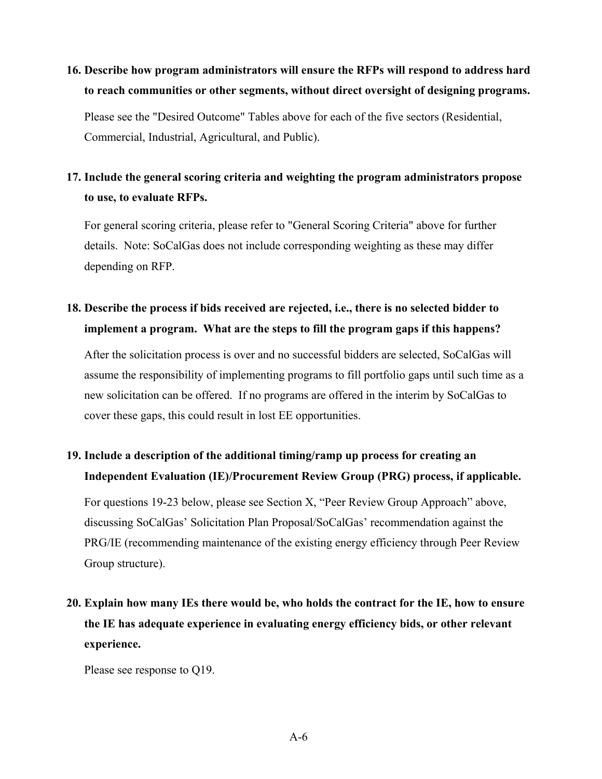# **16. Describe how program administrators will ensure the RFPs will respond to address hard to reach communities or other segments, without direct oversight of designing programs.**

Please see the "Desired Outcome" Tables above for each of the five sectors (Residential, Commercial, Industrial, Agricultural, and Public).

# **17. Include the general scoring criteria and weighting the program administrators propose to use, to evaluate RFPs.**

For general scoring criteria, please refer to "General Scoring Criteria" above for further details. Note: SoCalGas does not include corresponding weighting as these may differ depending on RFP.

# **18. Describe the process if bids received are rejected, i.e., there is no selected bidder to implement a program. What are the steps to fill the program gaps if this happens?**

After the solicitation process is over and no successful bidders are selected, SoCalGas will assume the responsibility of implementing programs to fill portfolio gaps until such time as a new solicitation can be offered. If no programs are offered in the interim by SoCalGas to cover these gaps, this could result in lost EE opportunities.

# **19. Include a description of the additional timing/ramp up process for creating an Independent Evaluation (IE)/Procurement Review Group (PRG) process, if applicable.**

For questions 19-23 below, please see Section X, "Peer Review Group Approach" above, discussing SoCalGas' Solicitation Plan Proposal/SoCalGas' recommendation against the PRG/IE (recommending maintenance of the existing energy efficiency through Peer Review Group structure).

# **20. Explain how many IEs there would be, who holds the contract for the IE, how to ensure the IE has adequate experience in evaluating energy efficiency bids, or other relevant experience.**

Please see response to Q19.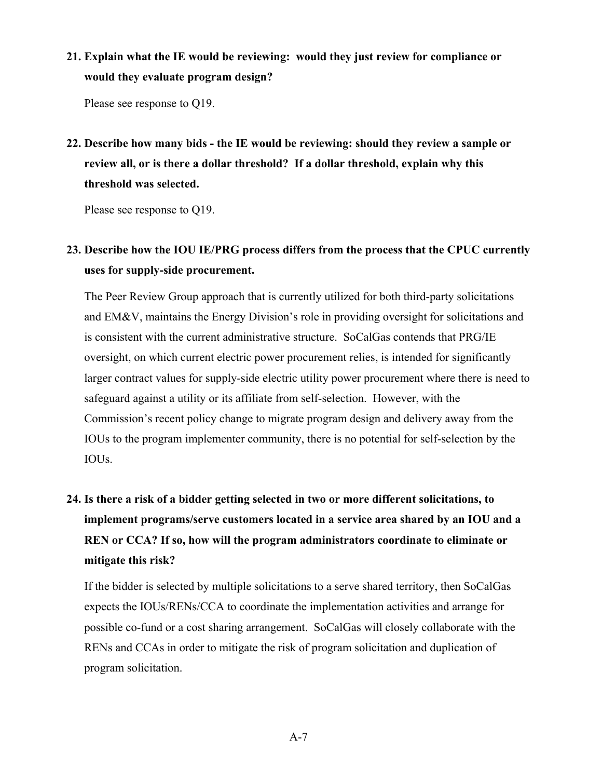**21. Explain what the IE would be reviewing: would they just review for compliance or would they evaluate program design?** 

Please see response to Q19.

**22. Describe how many bids - the IE would be reviewing: should they review a sample or review all, or is there a dollar threshold? If a dollar threshold, explain why this threshold was selected.** 

Please see response to Q19.

# **23. Describe how the IOU IE/PRG process differs from the process that the CPUC currently uses for supply-side procurement.**

The Peer Review Group approach that is currently utilized for both third-party solicitations and EM&V, maintains the Energy Division's role in providing oversight for solicitations and is consistent with the current administrative structure. SoCalGas contends that PRG/IE oversight, on which current electric power procurement relies, is intended for significantly larger contract values for supply-side electric utility power procurement where there is need to safeguard against a utility or its affiliate from self-selection. However, with the Commission's recent policy change to migrate program design and delivery away from the IOUs to the program implementer community, there is no potential for self-selection by the IOUs.

# **24. Is there a risk of a bidder getting selected in two or more different solicitations, to implement programs/serve customers located in a service area shared by an IOU and a REN or CCA? If so, how will the program administrators coordinate to eliminate or mitigate this risk?**

If the bidder is selected by multiple solicitations to a serve shared territory, then SoCalGas expects the IOUs/RENs/CCA to coordinate the implementation activities and arrange for possible co-fund or a cost sharing arrangement. SoCalGas will closely collaborate with the RENs and CCAs in order to mitigate the risk of program solicitation and duplication of program solicitation.

A-7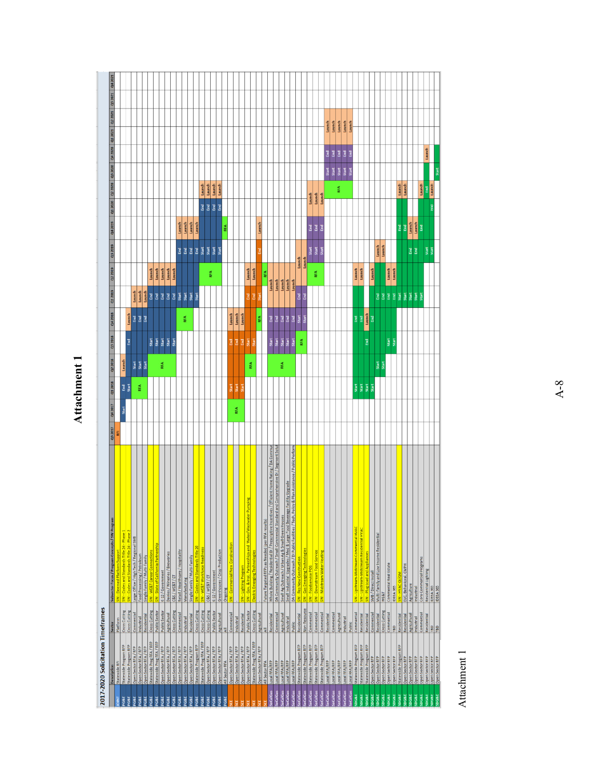# Attachment 1 **Attachment 1**

|                                |                                                |                            | Subsector Focus / Program Concepts / SW Program                                                  |         |         |                |                |                     |                         |                  |                |             |            |            |                                                                       |          |                  |  |
|--------------------------------|------------------------------------------------|----------------------------|--------------------------------------------------------------------------------------------------|---------|---------|----------------|----------------|---------------------|-------------------------|------------------|----------------|-------------|------------|------------|-----------------------------------------------------------------------|----------|------------------|--|
|                                | Description                                    | Sector                     |                                                                                                  | Q3 2017 | Q4 2017 | 01 2018        | Q2 2018        | Q3 2018             | Q1 2019<br>Q4 2018      | 02 2019          | 03 2019        |             |            |            | asser as a mean a mean assert as a mean as a mean as a mean as a mean |          |                  |  |
| DINT                           | Statewide RFI                                  | Platform                   | $SW - Des$                                                                                       | RFI     |         |                |                |                     |                         |                  |                |             |            |            |                                                                       |          |                  |  |
| YG&E<br>PG&E                   | Statewide Program RFP                          | Cross Cutting              | SW - Codes and Standards Title 24 - Phase 1<br>SW - Codes and Standards Title 24 - Phase 2       |         | Start   | E 5            | Launch         | <b>G</b>            |                         |                  |                |             |            |            |                                                                       |          |                  |  |
|                                | Statewide Program RFP<br>Open Sector RFA / RFP | Cross Cutting              | Large Office / High Tech / Regional SMB                                                          |         |         |                | Start          | Launch              |                         |                  |                |             |            |            |                                                                       |          |                  |  |
| <b>PRS</b><br><sup>3</sup> G&E | Open Sector RFA / RFP                          | Commercial<br>Industrial   | Food Processing / Petroleum                                                                      |         |         | RFA            |                | <b>BBB</b>          | Launch<br>Launch        |                  |                |             |            |            |                                                                       |          |                  |  |
| XG&E                           | Open Sector RFA / RFP                          | Residential                | Single Family / Multi-Family                                                                     |         |         |                | Start<br>Start |                     | Launch                  |                  |                |             |            |            |                                                                       |          |                  |  |
| <b>PG&amp;E</b>                | Statewide Prog RFA / RFP                       | <b>Cross Cutting</b>       | SW - WE&T Career Connection:                                                                     |         |         |                |                | Start               | E                       | Launch           |                |             |            |            |                                                                       |          |                  |  |
| G&E                            | Statewide Prog RFA / RFP                       | <b>Public Sector</b>       | SW - State of California Partnership                                                             |         |         |                |                | Start               | E                       | Launch           |                |             |            |            |                                                                       |          |                  |  |
| PG&E                           | Open Sector RFA / RFP                          | <b>Public Sector</b>       | K-12/Government                                                                                  |         |         |                | RFA            | Start               | End                     | Launch           |                |             |            |            |                                                                       |          |                  |  |
| <b>PG&amp;E</b>                | Open Sector RFA / RFP                          | Agricultural               | Dairies / Wineries / Breweries                                                                   |         |         |                |                | Start               | E                       | Launch           |                |             |            |            |                                                                       |          |                  |  |
| PG&E                           | Open Sector RFA / RFP                          | Cross Cutting              | C&S/WE&T/ET                                                                                      |         |         |                |                | Start               | End                     | Launch           |                |             |            |            |                                                                       |          |                  |  |
| YG&E                           | Open Sector RFA / RFP                          | Commercial                 | Retail / Healthcare / Hospitality                                                                |         |         |                |                |                     | Start                   |                  |                | Launch      |            |            |                                                                       |          |                  |  |
| PG&E                           | Open Sector RFA / RFP                          | Industrial                 | Manufacturing                                                                                    |         |         |                |                | EA                  | Start                   |                  | <b>BBB</b>     | Launch      |            |            |                                                                       |          |                  |  |
| PG&E                           | Open Sector RFA / RFP                          | Residential                | Single Family / Multi-Family                                                                     |         |         |                |                |                     | Start                   |                  |                | Launch      |            |            |                                                                       |          |                  |  |
| <b>PG&amp;E</b>                | Statewide Program RFP                          | <b>Cross Cutting</b>       | W - Codes and Standards Title 20                                                                 |         |         |                |                |                     | Start                   |                  | End            | Launch      |            |            |                                                                       |          |                  |  |
| PG&E                           | Statewide Prog RFA / RFP                       | Cross Cutting              | SW - WE&T Workforce Readiness                                                                    |         |         |                |                |                     |                         |                  | Start          |             |            | Launch     |                                                                       |          |                  |  |
| YG&E                           | Open Sector RFA / RFP                          | <b>Cross Cutting</b>       | C&S/WE&T/ET                                                                                      |         |         |                |                |                     |                         |                  |                |             | <b>BBB</b> | Launch     |                                                                       |          |                  |  |
| <b>PG&amp;E</b>                | Open Sector RFA / RFP                          | Public Sector              | K-12 / Government                                                                                |         |         |                |                |                     |                         | RFA              | Start<br>Start |             |            | Launch     |                                                                       |          |                  |  |
| YGRE                           | Open Sector RFA / RFP                          | Agricultural               | Greenhouses / Crop Production                                                                    |         |         |                |                |                     |                         |                  | Start          |             | <b>E</b>   | Launch     |                                                                       |          |                  |  |
| <b>PG&amp;E</b>                | All Sector RFA                                 | $\overline{4}$             | Ongoing                                                                                          |         |         |                |                |                     |                         |                  |                | RFA         |            |            |                                                                       |          |                  |  |
|                                | Open Sector RFA / RFP                          | Commercial                 | ercial New<br>$W - \text{Co}$                                                                    |         |         | ă              |                | Launch<br>꾊         |                         |                  |                |             |            |            |                                                                       |          |                  |  |
|                                | Open Sector RFA / RFP                          | Industrial                 |                                                                                                  |         | RFA     | Start          |                | Launch<br>E         |                         |                  |                |             |            |            |                                                                       |          |                  |  |
|                                | Open Sector RFA / RFP                          | Residential                | W - Lighting Program                                                                             |         |         | Ĕ              |                | Launch<br>F         |                         |                  |                |             |            |            |                                                                       |          |                  |  |
|                                | Open Sector RFA / RFP                          | <b>Public Sector</b>       | bing<br>W - Gov. & Inst. Partnerships and Water/Wastwater Pun                                    |         |         |                |                | Start               | E                       | Launch           |                |             |            |            |                                                                       |          |                  |  |
|                                | Statewide Prog RFA / RFP                       | Cross Cutting              | <b>lectric Emerging Technologies</b>                                                             |         |         |                | RFA            | Ã                   | <b>End</b>              | Launch           |                |             |            |            |                                                                       |          |                  |  |
|                                | Open Sector RFA / RFP                          | Agricultural               |                                                                                                  |         |         |                |                | RFA                 | Ĕ                       |                  | ē              | Launch      |            |            |                                                                       |          |                  |  |
|                                | All Sector RFA                                 | $\bar{a}$                  | Future Targeted RFPs as Needed (per RFA results)                                                 |         |         |                |                |                     |                         | RFA              |                |             |            |            |                                                                       |          |                  |  |
|                                | Local RFA/RFP                                  | Residential                | Efficient Home Rating / DA Commun<br>Whole Building / Residential DI / Prescriptive Incentives / |         |         |                |                | ョ<br>Start          |                         | Launch           |                |             |            |            |                                                                       |          |                  |  |
| <b>pCalGas</b>                 | Local RFA/RFP                                  | Commercial                 | DA Community Outreach / Small Commercial Standard and Comprehensive DI / Segment Solu            |         |         |                |                | Emal                |                         | Launch           |                |             |            |            |                                                                       |          |                  |  |
| CalGas                         | Local RFA/RFP                                  | Agricultural               | Small Ag Outreach / Urban Ag & Small Green Houses                                                |         |         |                | RFA            | 3<br>Start<br>Start |                         | Launch           |                |             |            |            |                                                                       |          |                  |  |
| <b>CalGas</b>                  | Local RFA/RFP                                  | Industrial                 | acility Upgrade<br>Small Industrial Upgrades / Med & Large Food Beverage F                       |         |         |                |                | Emal<br>Start       |                         | Launch           |                |             |            |            |                                                                       |          |                  |  |
| CalGas                         | Local RFA/RFP                                  | Public                     | DA Community Outreach / DI Public Facilities / Tech, Policy & Plan Assistance / Public Perform   |         |         |                |                | ョ<br>Start          |                         | Launch           |                |             |            |            |                                                                       |          |                  |  |
| CalGas                         | Statewide Program RFP                          | Residential                | SW - Res New Construction                                                                        |         |         |                |                | Start<br>RFA        | $\overline{\mathbf{g}}$ |                  | Launch         |             |            |            |                                                                       |          |                  |  |
| CalGas                         | Statewide Program RFP                          | Non-Resource               | SW - Gas Emerging Technologies                                                                   |         |         |                |                | ă                   | E                       |                  | Launch         |             |            |            |                                                                       |          |                  |  |
| CalGas                         | Statewide Program RFP                          | Commercial                 | SW - Foodservice POS                                                                             |         |         |                |                |                     |                         |                  | Start          | <b>G</b> G  |            | Launch     |                                                                       |          |                  |  |
| CalGas                         | Statewide Program RFP                          | Commercial                 | SW - Downstream Food Service                                                                     |         |         |                |                |                     |                         | RFA              | Start          |             |            | Launch     |                                                                       |          |                  |  |
| CalGas                         | Statewide Program RFP                          | Commercial                 | SW - Midstream Water Heating                                                                     |         |         |                |                |                     |                         |                  | Start          | Emd         |            | Launch     |                                                                       |          |                  |  |
| CalGas                         | Local RFA/RFP                                  | Residential                |                                                                                                  |         |         |                |                |                     |                         |                  |                |             |            |            | Start                                                                 | F        | Launch           |  |
| CalGas                         | Local RFA/RFP                                  | Commercial                 |                                                                                                  |         |         |                |                |                     |                         |                  |                |             |            |            | Start                                                                 | End      | Launch           |  |
| CalGas<br><b>SCalGas</b>       | Local RFA/RFP<br>Local RFA/RFP                 | Agricultural<br>Industrial |                                                                                                  |         |         |                |                |                     |                         |                  |                |             |            | RFA        | Start<br>Start                                                        | E<br>End | Launch<br>Launch |  |
| <b>CalGas</b>                  | Local RFA/RFP                                  | Public                     |                                                                                                  |         |         |                |                |                     |                         |                  |                |             |            |            | Start                                                                 | E        | Launch           |  |
| DG&E                           | Statewide Program RFP                          | Commercial                 | SW - Upstream-Midstream Commercial HVAC                                                          |         |         |                |                | <b>End</b>          |                         |                  |                |             |            |            |                                                                       |          |                  |  |
| DG&E                           | Statewide Program RFP                          | Residential                | SW - Upstream-Midstream Residential HVAC                                                         |         |         | Start<br>Start |                | $\mathbb{E}$        |                         | Launch<br>Launch |                |             |            |            |                                                                       |          |                  |  |
| DG&E                           | Statewide Program RFP                          | Residential                | SW - Plug Load and Appliances                                                                    |         |         | Start          |                | Launch<br>Gnd       |                         |                  |                |             |            |            |                                                                       |          |                  |  |
| DG&E                           | Open Sector RFP                                | Commercial                 | SMB / Direct Install                                                                             |         |         | Start          |                | End                 |                         | Launch           |                |             |            |            |                                                                       |          |                  |  |
| DG&E                           | Open Sector RFP                                | Residential                | Multi-Family and Low Income Residential                                                          |         |         |                | Start          |                     | e e                     |                  | Launch         |             |            |            |                                                                       |          |                  |  |
| DG&E                           | Open Sector RFP                                | Cross Cutting              | <b>WE&amp;T</b>                                                                                  |         |         |                | Start          |                     |                         |                  | Launch         |             |            |            |                                                                       |          |                  |  |
| DG&E                           | Open Sector RFP                                | Commercial                 | Commercial Real Estate                                                                           |         |         |                |                | Start               | E E                     | Launch           |                |             |            |            |                                                                       |          |                  |  |
| <b>JBOOK</b>                   | Open Sector RFP                                | TBD                        | IDEEA 365                                                                                        |         |         |                |                | Start               |                         | Launch           |                |             |            |            |                                                                       |          |                  |  |
| DG&E                           | Statewide Program RFP                          | Residential                | <b>JAV-HVAC</b>                                                                                  |         |         |                |                |                     | Start                   |                  |                | Emd         |            | Launch     |                                                                       |          |                  |  |
| <b>JBOOK</b>                   | Open Sector RFP                                | Residential                | EUC, Behavioral, CMPH                                                                            |         |         |                |                |                     | Start                   |                  |                | F           |            | Launch     |                                                                       |          |                  |  |
| DG&E<br><b>DG&amp;E</b>        | Open Sector RFP                                | Agricultural<br>Industrial | Agriculture                                                                                      |         |         |                |                |                     | Start<br>Start          |                  | <b>BB</b>      | Launch      |            |            |                                                                       |          |                  |  |
| <b>DG&amp;E</b>                | Open Sector RFP<br>Open Sector RFP             | Commercial                 | Core Commercial Programs<br>Industrial                                                           |         |         |                |                |                     | Start                   |                  |                | Launch<br>G |            | Launch     |                                                                       |          |                  |  |
| DG&E                           | Open Sector RFP                                | Residential                | Residential Lighting                                                                             |         |         |                |                |                     |                         |                  | Start          |             |            | <b>End</b> |                                                                       | Launch   |                  |  |
| <b>DG&amp;E</b>                | Open Sector RFP<br>Open Sector RFP             | TBD                        | IDEEA 365                                                                                        |         |         |                |                |                     |                         |                  | Start          |             | E          | Launch     |                                                                       |          |                  |  |
| <b>SDG&amp;E</b>               |                                                | BD                         | IDEEA 365                                                                                        |         |         |                |                |                     |                         |                  |                |             |            |            | Start                                                                 |          |                  |  |

Attachment 1 Attachment 1